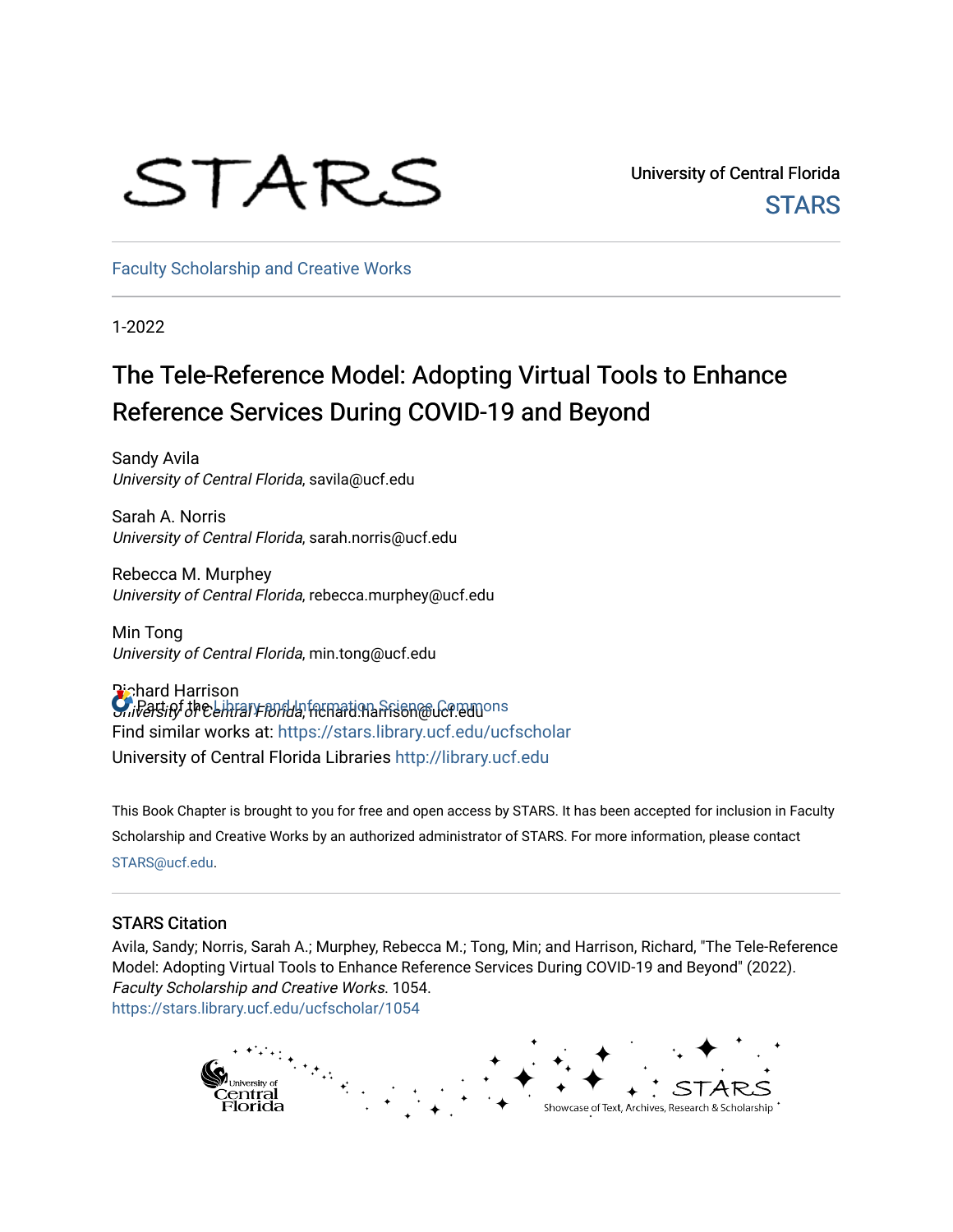# STARS

University of Central Florida **STARS** 

[Faculty Scholarship and Creative Works](https://stars.library.ucf.edu/ucfscholar) 

1-2022

## The Tele-Reference Model: Adopting Virtual Tools to Enhance Reference Services During COVID-19 and Beyond

Sandy Avila University of Central Florida, savila@ucf.edu

Sarah A. Norris University of Central Florida, sarah.norris@ucf.edu

Rebecca M. Murphey University of Central Florida, rebecca.murphey@ucf.edu

Min Tong University of Central Florida, min.tong@ucf.edu

Richard Harrison University of Central Florida, rechard.harrison@ucf.eduons Find similar works at: <https://stars.library.ucf.edu/ucfscholar> University of Central Florida Libraries [http://library.ucf.edu](http://library.ucf.edu/) 

This Book Chapter is brought to you for free and open access by STARS. It has been accepted for inclusion in Faculty Scholarship and Creative Works by an authorized administrator of STARS. For more information, please contact [STARS@ucf.edu](mailto:STARS@ucf.edu).

#### STARS Citation

Avila, Sandy; Norris, Sarah A.; Murphey, Rebecca M.; Tong, Min; and Harrison, Richard, "The Tele-Reference Model: Adopting Virtual Tools to Enhance Reference Services During COVID-19 and Beyond" (2022). Faculty Scholarship and Creative Works. 1054. [https://stars.library.ucf.edu/ucfscholar/1054](https://stars.library.ucf.edu/ucfscholar/1054?utm_source=stars.library.ucf.edu%2Fucfscholar%2F1054&utm_medium=PDF&utm_campaign=PDFCoverPages) 

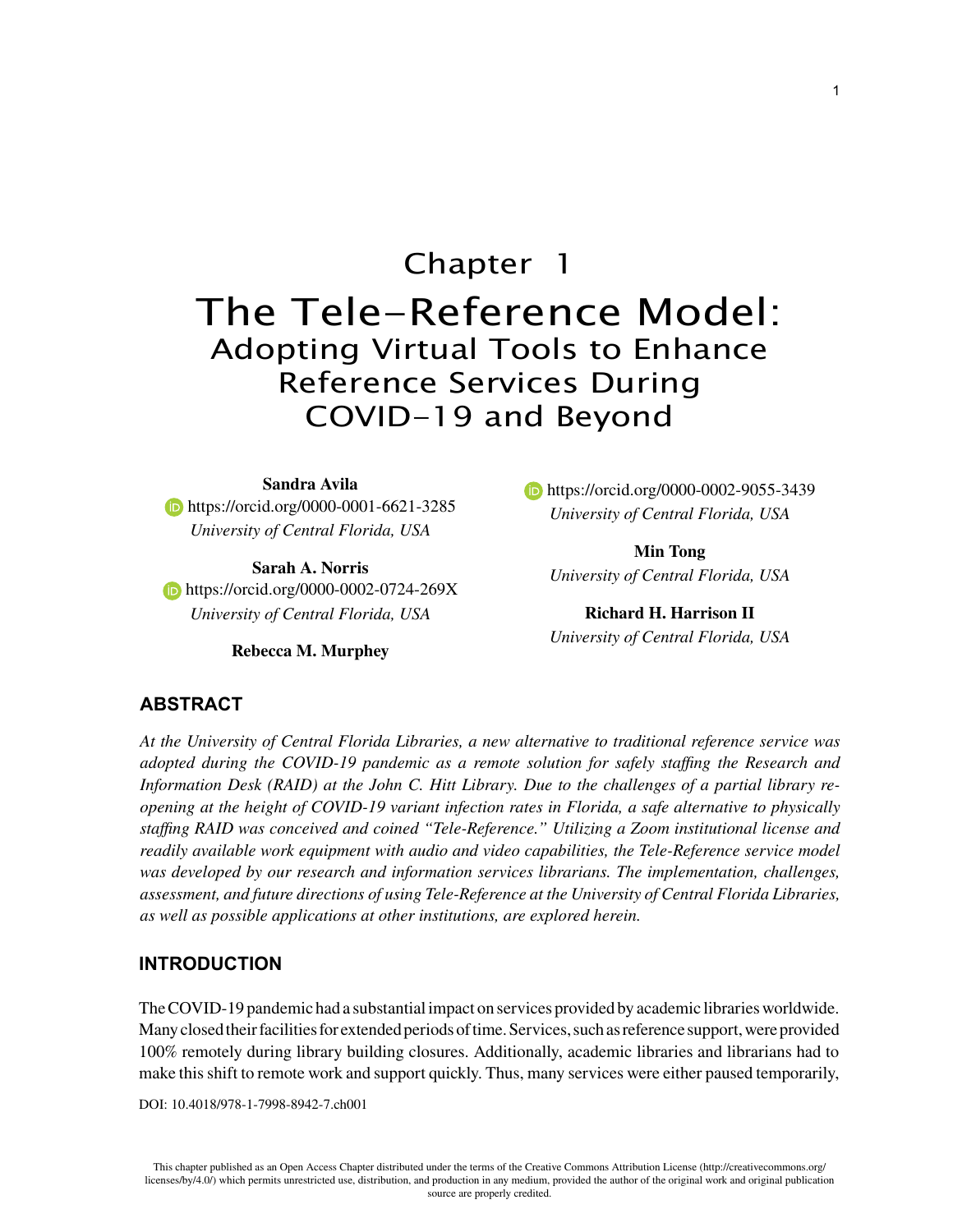## Chapter 1

## The Tele-Reference Model: Adopting Virtual Tools to Enhance Reference Services During COVID-19 and Beyond

#### **Sandra Avila**

**https://orcid.org/0000-0001-6621-3285** *University of Central Florida, USA*

**Sarah A. Norris https://orcid.org/0000-0002-0724-269X** *University of Central Florida, USA*

**Rebecca M. Murphey**

**https://orcid.org/0000-0002-9055-3439** *University of Central Florida, USA*

**Min Tong** *University of Central Florida, USA*

**Richard H. Harrison II** *University of Central Florida, USA*

#### **ABSTRACT**

*At the University of Central Florida Libraries, a new alternative to traditional reference service was adopted during the COVID-19 pandemic as a remote solution for safely staffing the Research and Information Desk (RAID) at the John C. Hitt Library. Due to the challenges of a partial library reopening at the height of COVID-19 variant infection rates in Florida, a safe alternative to physically staffing RAID was conceived and coined "Tele-Reference." Utilizing a Zoom institutional license and readily available work equipment with audio and video capabilities, the Tele-Reference service model*  was developed by our research and information services librarians. The implementation, challenges, *assessment, and future directions of using Tele-Reference at the University of Central Florida Libraries, as well as possible applications at other institutions, are explored herein.*

#### **INTRODUCTION**

The COVID-19 pandemic had a substantial impact on services provided by academic libraries worldwide. Many closed their facilities for extended periods of time. Services, such as reference support, were provided 100% remotely during library building closures. Additionally, academic libraries and librarians had to make this shift to remote work and support quickly. Thus, many services were either paused temporarily,

DOI: 10.4018/978-1-7998-8942-7.ch001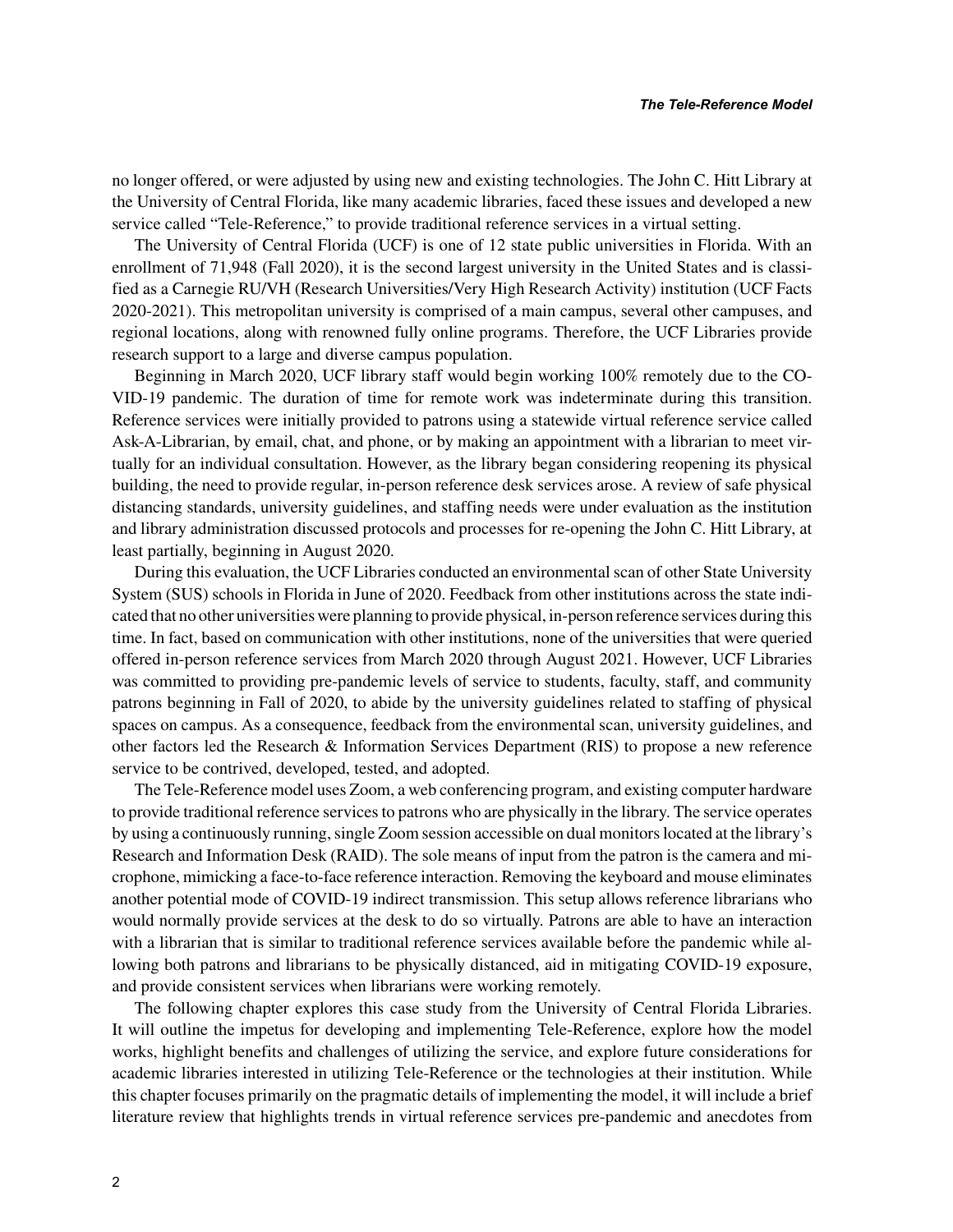no longer offered, or were adjusted by using new and existing technologies. The John C. Hitt Library at the University of Central Florida, like many academic libraries, faced these issues and developed a new service called "Tele-Reference," to provide traditional reference services in a virtual setting.

The University of Central Florida (UCF) is one of 12 state public universities in Florida. With an enrollment of 71,948 (Fall 2020), it is the second largest university in the United States and is classified as a Carnegie RU/VH (Research Universities/Very High Research Activity) institution (UCF Facts 2020-2021). This metropolitan university is comprised of a main campus, several other campuses, and regional locations, along with renowned fully online programs. Therefore, the UCF Libraries provide research support to a large and diverse campus population.

Beginning in March 2020, UCF library staff would begin working 100% remotely due to the CO-VID-19 pandemic. The duration of time for remote work was indeterminate during this transition. Reference services were initially provided to patrons using a statewide virtual reference service called Ask-A-Librarian, by email, chat, and phone, or by making an appointment with a librarian to meet virtually for an individual consultation. However, as the library began considering reopening its physical building, the need to provide regular, in-person reference desk services arose. A review of safe physical distancing standards, university guidelines, and staffing needs were under evaluation as the institution and library administration discussed protocols and processes for re-opening the John C. Hitt Library, at least partially, beginning in August 2020.

During this evaluation, the UCF Libraries conducted an environmental scan of other State University System (SUS) schools in Florida in June of 2020. Feedback from other institutions across the state indicated that no other universities were planning to provide physical, in-person reference services during this time. In fact, based on communication with other institutions, none of the universities that were queried offered in-person reference services from March 2020 through August 2021. However, UCF Libraries was committed to providing pre-pandemic levels of service to students, faculty, staff, and community patrons beginning in Fall of 2020, to abide by the university guidelines related to staffing of physical spaces on campus. As a consequence, feedback from the environmental scan, university guidelines, and other factors led the Research & Information Services Department (RIS) to propose a new reference service to be contrived, developed, tested, and adopted.

The Tele-Reference model uses Zoom, a web conferencing program, and existing computer hardware to provide traditional reference services to patrons who are physically in the library. The service operates by using a continuously running, single Zoom session accessible on dual monitors located at the library's Research and Information Desk (RAID). The sole means of input from the patron is the camera and microphone, mimicking a face-to-face reference interaction. Removing the keyboard and mouse eliminates another potential mode of COVID-19 indirect transmission. This setup allows reference librarians who would normally provide services at the desk to do so virtually. Patrons are able to have an interaction with a librarian that is similar to traditional reference services available before the pandemic while allowing both patrons and librarians to be physically distanced, aid in mitigating COVID-19 exposure, and provide consistent services when librarians were working remotely.

The following chapter explores this case study from the University of Central Florida Libraries. It will outline the impetus for developing and implementing Tele-Reference, explore how the model works, highlight benefits and challenges of utilizing the service, and explore future considerations for academic libraries interested in utilizing Tele-Reference or the technologies at their institution. While this chapter focuses primarily on the pragmatic details of implementing the model, it will include a brief literature review that highlights trends in virtual reference services pre-pandemic and anecdotes from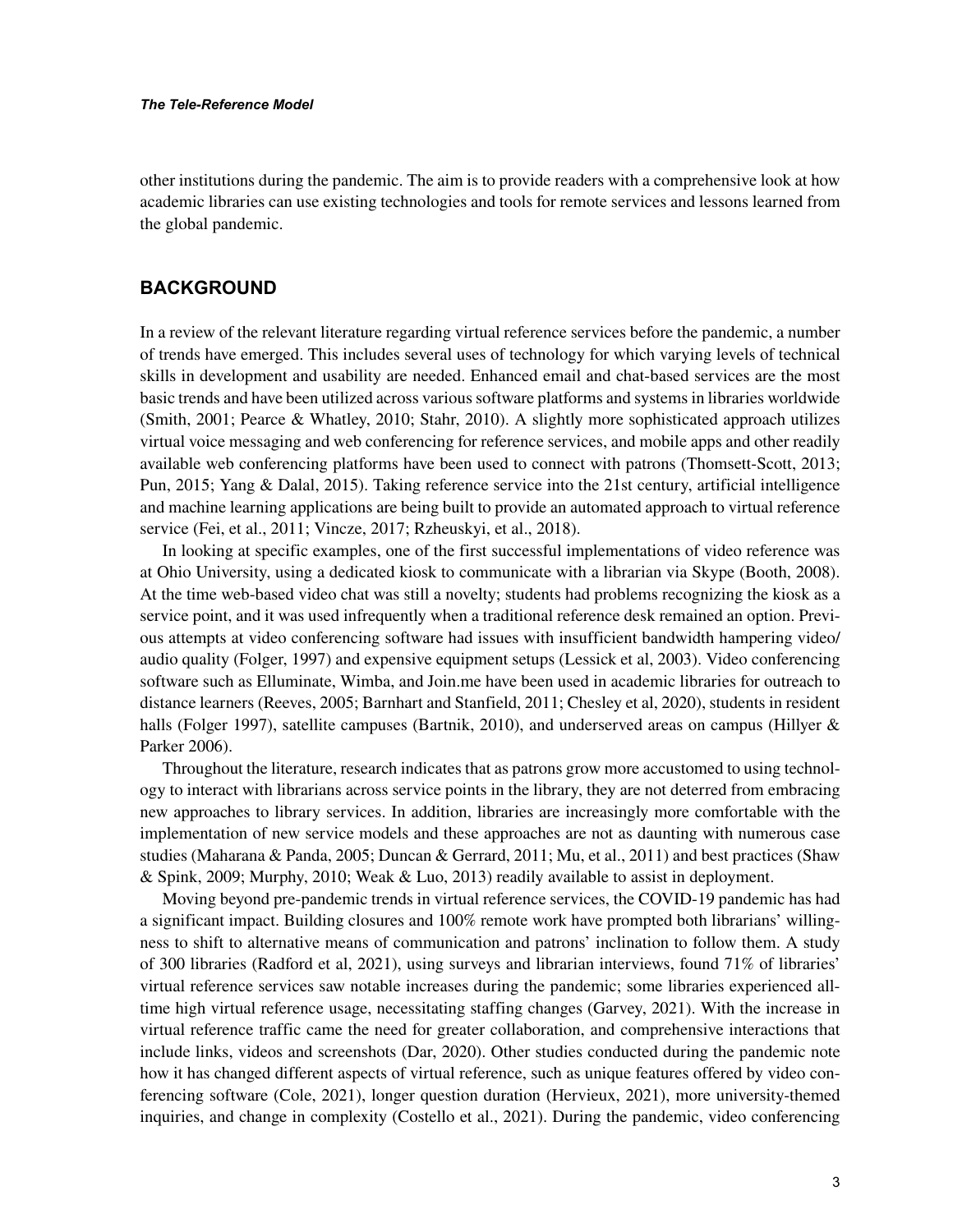other institutions during the pandemic. The aim is to provide readers with a comprehensive look at how academic libraries can use existing technologies and tools for remote services and lessons learned from the global pandemic.

#### **BACKGROUND**

In a review of the relevant literature regarding virtual reference services before the pandemic, a number of trends have emerged. This includes several uses of technology for which varying levels of technical skills in development and usability are needed. Enhanced email and chat-based services are the most basic trends and have been utilized across various software platforms and systems in libraries worldwide (Smith, 2001; Pearce & Whatley, 2010; Stahr, 2010). A slightly more sophisticated approach utilizes virtual voice messaging and web conferencing for reference services, and mobile apps and other readily available web conferencing platforms have been used to connect with patrons (Thomsett-Scott, 2013; Pun, 2015; Yang & Dalal, 2015). Taking reference service into the 21st century, artificial intelligence and machine learning applications are being built to provide an automated approach to virtual reference service (Fei, et al., 2011; Vincze, 2017; Rzheuskyi, et al., 2018).

In looking at specific examples, one of the first successful implementations of video reference was at Ohio University, using a dedicated kiosk to communicate with a librarian via Skype (Booth, 2008). At the time web-based video chat was still a novelty; students had problems recognizing the kiosk as a service point, and it was used infrequently when a traditional reference desk remained an option. Previous attempts at video conferencing software had issues with insufficient bandwidth hampering video/ audio quality (Folger, 1997) and expensive equipment setups (Lessick et al, 2003). Video conferencing software such as Elluminate, Wimba, and Join.me have been used in academic libraries for outreach to distance learners (Reeves, 2005; Barnhart and Stanfield, 2011; Chesley et al, 2020), students in resident halls (Folger 1997), satellite campuses (Bartnik, 2010), and underserved areas on campus (Hillyer & Parker 2006).

Throughout the literature, research indicates that as patrons grow more accustomed to using technology to interact with librarians across service points in the library, they are not deterred from embracing new approaches to library services. In addition, libraries are increasingly more comfortable with the implementation of new service models and these approaches are not as daunting with numerous case studies (Maharana & Panda, 2005; Duncan & Gerrard, 2011; Mu, et al., 2011) and best practices (Shaw & Spink, 2009; Murphy, 2010; Weak & Luo, 2013) readily available to assist in deployment.

Moving beyond pre-pandemic trends in virtual reference services, the COVID-19 pandemic has had a significant impact. Building closures and 100% remote work have prompted both librarians' willingness to shift to alternative means of communication and patrons' inclination to follow them. A study of 300 libraries (Radford et al, 2021), using surveys and librarian interviews, found 71% of libraries' virtual reference services saw notable increases during the pandemic; some libraries experienced alltime high virtual reference usage, necessitating staffing changes (Garvey, 2021). With the increase in virtual reference traffic came the need for greater collaboration, and comprehensive interactions that include links, videos and screenshots (Dar, 2020). Other studies conducted during the pandemic note how it has changed different aspects of virtual reference, such as unique features offered by video conferencing software (Cole, 2021), longer question duration (Hervieux, 2021), more university-themed inquiries, and change in complexity (Costello et al., 2021). During the pandemic, video conferencing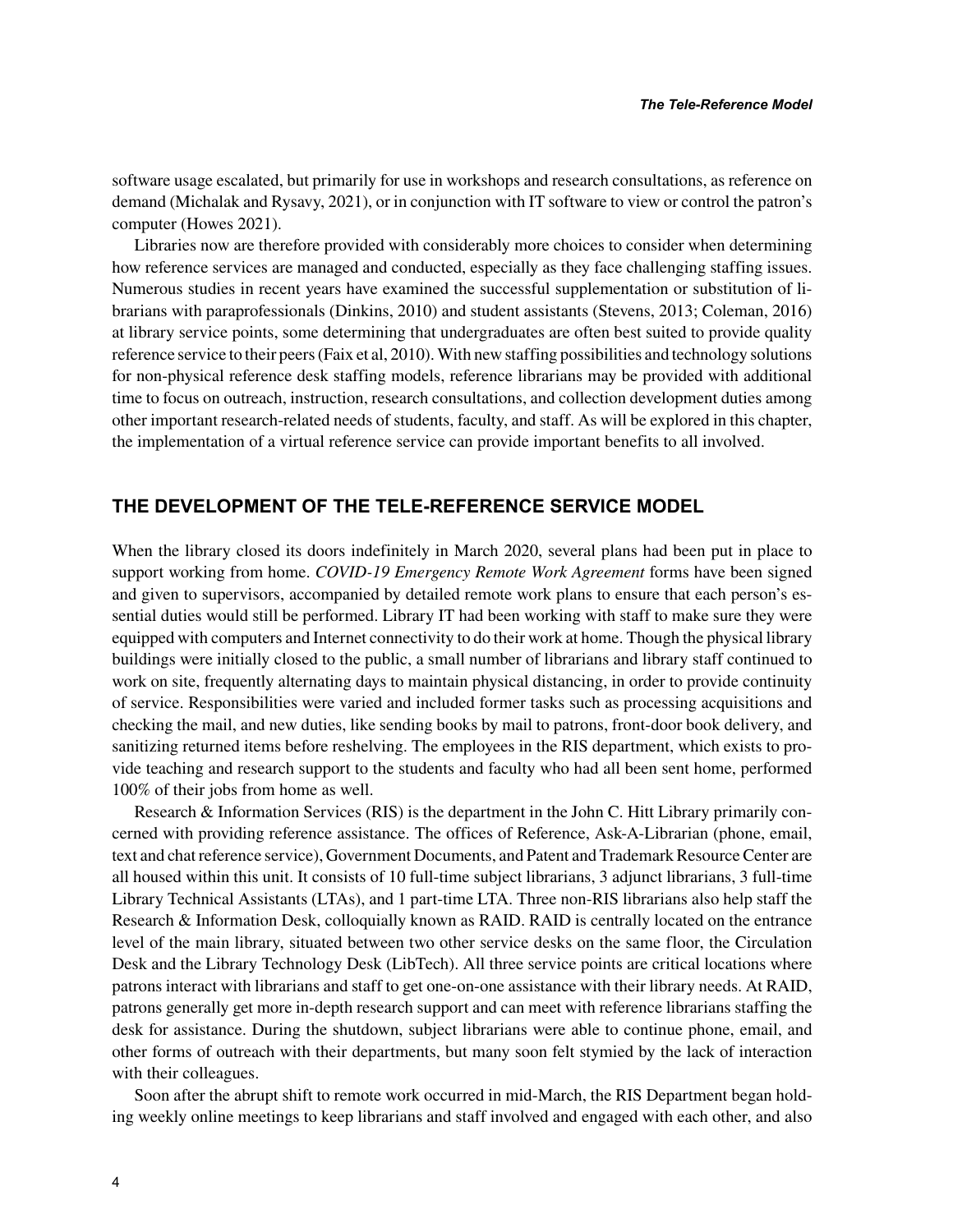software usage escalated, but primarily for use in workshops and research consultations, as reference on demand (Michalak and Rysavy, 2021), or in conjunction with IT software to view or control the patron's computer (Howes 2021).

Libraries now are therefore provided with considerably more choices to consider when determining how reference services are managed and conducted, especially as they face challenging staffing issues. Numerous studies in recent years have examined the successful supplementation or substitution of librarians with paraprofessionals (Dinkins, 2010) and student assistants (Stevens, 2013; Coleman, 2016) at library service points, some determining that undergraduates are often best suited to provide quality reference service to their peers (Faix et al, 2010). With new staffing possibilities and technology solutions for non-physical reference desk staffing models, reference librarians may be provided with additional time to focus on outreach, instruction, research consultations, and collection development duties among other important research-related needs of students, faculty, and staff. As will be explored in this chapter, the implementation of a virtual reference service can provide important benefits to all involved.

#### **THE DEVELOPMENT OF THE TELE-REFERENCE SERVICE MODEL**

When the library closed its doors indefinitely in March 2020, several plans had been put in place to support working from home. *COVID-19 Emergency Remote Work Agreement* forms have been signed and given to supervisors, accompanied by detailed remote work plans to ensure that each person's essential duties would still be performed. Library IT had been working with staff to make sure they were equipped with computers and Internet connectivity to do their work at home. Though the physical library buildings were initially closed to the public, a small number of librarians and library staff continued to work on site, frequently alternating days to maintain physical distancing, in order to provide continuity of service. Responsibilities were varied and included former tasks such as processing acquisitions and checking the mail, and new duties, like sending books by mail to patrons, front-door book delivery, and sanitizing returned items before reshelving. The employees in the RIS department, which exists to provide teaching and research support to the students and faculty who had all been sent home, performed 100% of their jobs from home as well.

Research & Information Services (RIS) is the department in the John C. Hitt Library primarily concerned with providing reference assistance. The offices of Reference, Ask-A-Librarian (phone, email, text and chat reference service), Government Documents, and Patent and Trademark Resource Center are all housed within this unit. It consists of 10 full-time subject librarians, 3 adjunct librarians, 3 full-time Library Technical Assistants (LTAs), and 1 part-time LTA. Three non-RIS librarians also help staff the Research & Information Desk, colloquially known as RAID. RAID is centrally located on the entrance level of the main library, situated between two other service desks on the same floor, the Circulation Desk and the Library Technology Desk (LibTech). All three service points are critical locations where patrons interact with librarians and staff to get one-on-one assistance with their library needs. At RAID, patrons generally get more in-depth research support and can meet with reference librarians staffing the desk for assistance. During the shutdown, subject librarians were able to continue phone, email, and other forms of outreach with their departments, but many soon felt stymied by the lack of interaction with their colleagues.

Soon after the abrupt shift to remote work occurred in mid-March, the RIS Department began holding weekly online meetings to keep librarians and staff involved and engaged with each other, and also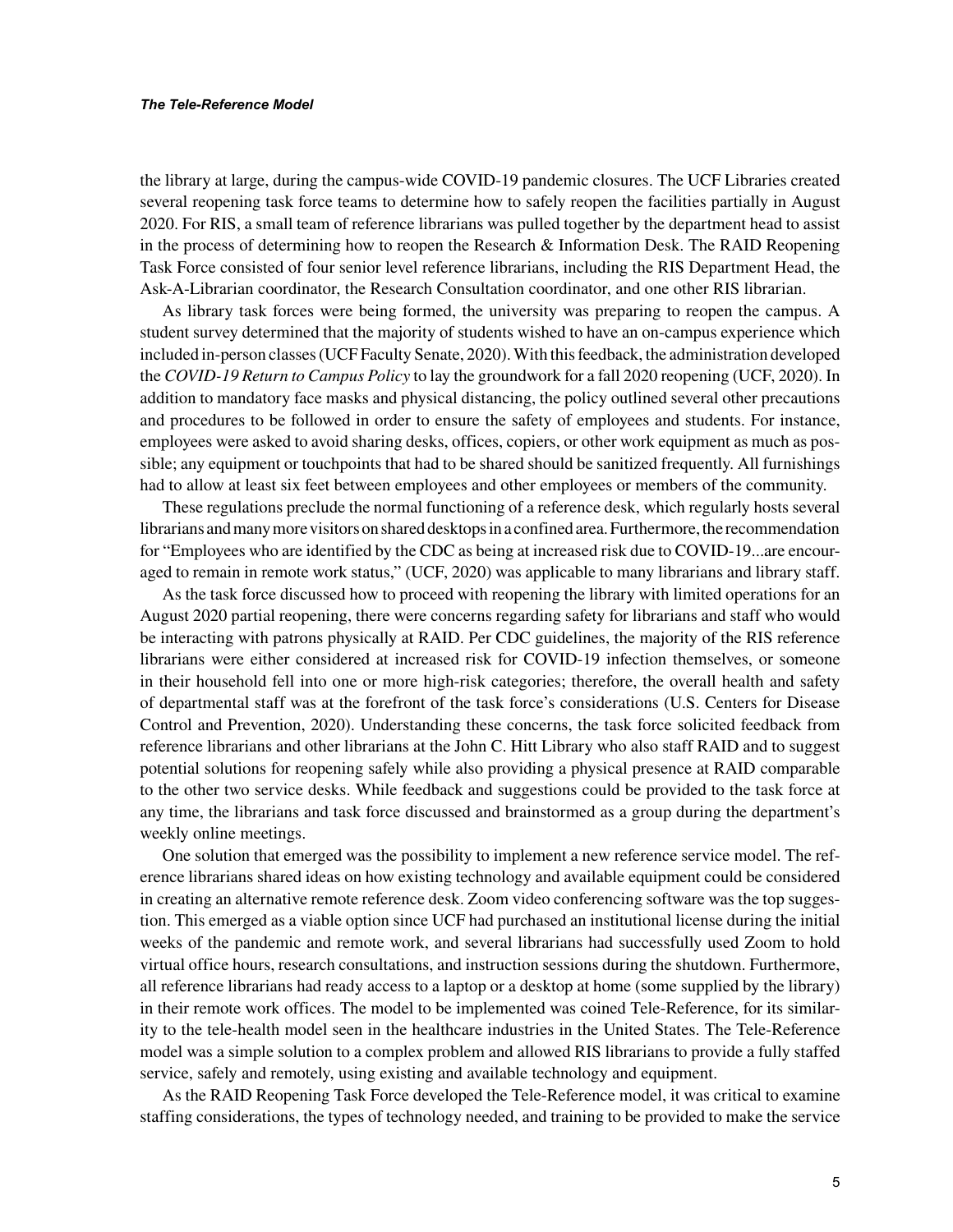the library at large, during the campus-wide COVID-19 pandemic closures. The UCF Libraries created several reopening task force teams to determine how to safely reopen the facilities partially in August 2020. For RIS, a small team of reference librarians was pulled together by the department head to assist in the process of determining how to reopen the Research & Information Desk. The RAID Reopening Task Force consisted of four senior level reference librarians, including the RIS Department Head, the Ask-A-Librarian coordinator, the Research Consultation coordinator, and one other RIS librarian.

As library task forces were being formed, the university was preparing to reopen the campus. A student survey determined that the majority of students wished to have an on-campus experience which included in-person classes (UCF Faculty Senate, 2020). With this feedback, the administration developed the *COVID-19 Return to Campus Policy* to lay the groundwork for a fall 2020 reopening (UCF, 2020). In addition to mandatory face masks and physical distancing, the policy outlined several other precautions and procedures to be followed in order to ensure the safety of employees and students. For instance, employees were asked to avoid sharing desks, offices, copiers, or other work equipment as much as possible; any equipment or touchpoints that had to be shared should be sanitized frequently. All furnishings had to allow at least six feet between employees and other employees or members of the community.

These regulations preclude the normal functioning of a reference desk, which regularly hosts several librarians and many more visitors on shared desktops in a confined area. Furthermore, the recommendation for "Employees who are identified by the CDC as being at increased risk due to COVID-19...are encouraged to remain in remote work status," (UCF, 2020) was applicable to many librarians and library staff.

As the task force discussed how to proceed with reopening the library with limited operations for an August 2020 partial reopening, there were concerns regarding safety for librarians and staff who would be interacting with patrons physically at RAID. Per CDC guidelines, the majority of the RIS reference librarians were either considered at increased risk for COVID-19 infection themselves, or someone in their household fell into one or more high-risk categories; therefore, the overall health and safety of departmental staff was at the forefront of the task force's considerations (U.S. Centers for Disease Control and Prevention, 2020). Understanding these concerns, the task force solicited feedback from reference librarians and other librarians at the John C. Hitt Library who also staff RAID and to suggest potential solutions for reopening safely while also providing a physical presence at RAID comparable to the other two service desks. While feedback and suggestions could be provided to the task force at any time, the librarians and task force discussed and brainstormed as a group during the department's weekly online meetings.

One solution that emerged was the possibility to implement a new reference service model. The reference librarians shared ideas on how existing technology and available equipment could be considered in creating an alternative remote reference desk. Zoom video conferencing software was the top suggestion. This emerged as a viable option since UCF had purchased an institutional license during the initial weeks of the pandemic and remote work, and several librarians had successfully used Zoom to hold virtual office hours, research consultations, and instruction sessions during the shutdown. Furthermore, all reference librarians had ready access to a laptop or a desktop at home (some supplied by the library) in their remote work offices. The model to be implemented was coined Tele-Reference, for its similarity to the tele-health model seen in the healthcare industries in the United States. The Tele-Reference model was a simple solution to a complex problem and allowed RIS librarians to provide a fully staffed service, safely and remotely, using existing and available technology and equipment.

As the RAID Reopening Task Force developed the Tele-Reference model, it was critical to examine staffing considerations, the types of technology needed, and training to be provided to make the service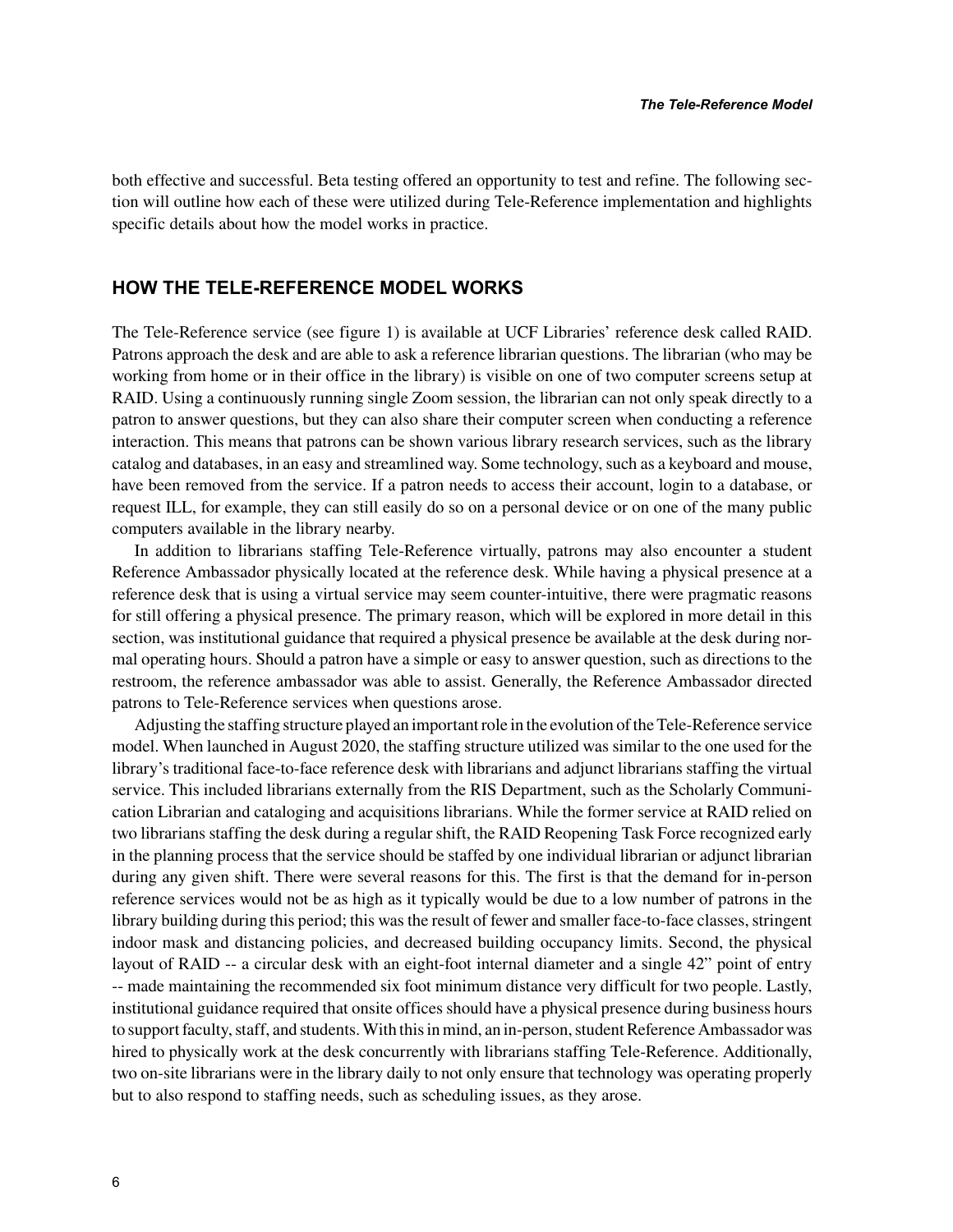both effective and successful. Beta testing offered an opportunity to test and refine. The following section will outline how each of these were utilized during Tele-Reference implementation and highlights specific details about how the model works in practice.

#### **HOW THE TELE-REFERENCE MODEL WORKS**

The Tele-Reference service (see figure 1) is available at UCF Libraries' reference desk called RAID. Patrons approach the desk and are able to ask a reference librarian questions. The librarian (who may be working from home or in their office in the library) is visible on one of two computer screens setup at RAID. Using a continuously running single Zoom session, the librarian can not only speak directly to a patron to answer questions, but they can also share their computer screen when conducting a reference interaction. This means that patrons can be shown various library research services, such as the library catalog and databases, in an easy and streamlined way. Some technology, such as a keyboard and mouse, have been removed from the service. If a patron needs to access their account, login to a database, or request ILL, for example, they can still easily do so on a personal device or on one of the many public computers available in the library nearby.

In addition to librarians staffing Tele-Reference virtually, patrons may also encounter a student Reference Ambassador physically located at the reference desk. While having a physical presence at a reference desk that is using a virtual service may seem counter-intuitive, there were pragmatic reasons for still offering a physical presence. The primary reason, which will be explored in more detail in this section, was institutional guidance that required a physical presence be available at the desk during normal operating hours. Should a patron have a simple or easy to answer question, such as directions to the restroom, the reference ambassador was able to assist. Generally, the Reference Ambassador directed patrons to Tele-Reference services when questions arose.

Adjusting the staffing structure played an important role in the evolution of the Tele-Reference service model. When launched in August 2020, the staffing structure utilized was similar to the one used for the library's traditional face-to-face reference desk with librarians and adjunct librarians staffing the virtual service. This included librarians externally from the RIS Department, such as the Scholarly Communication Librarian and cataloging and acquisitions librarians. While the former service at RAID relied on two librarians staffing the desk during a regular shift, the RAID Reopening Task Force recognized early in the planning process that the service should be staffed by one individual librarian or adjunct librarian during any given shift. There were several reasons for this. The first is that the demand for in-person reference services would not be as high as it typically would be due to a low number of patrons in the library building during this period; this was the result of fewer and smaller face-to-face classes, stringent indoor mask and distancing policies, and decreased building occupancy limits. Second, the physical layout of RAID -- a circular desk with an eight-foot internal diameter and a single 42" point of entry -- made maintaining the recommended six foot minimum distance very difficult for two people. Lastly, institutional guidance required that onsite offices should have a physical presence during business hours to support faculty, staff, and students. With this in mind, an in-person, student Reference Ambassador was hired to physically work at the desk concurrently with librarians staffing Tele-Reference. Additionally, two on-site librarians were in the library daily to not only ensure that technology was operating properly but to also respond to staffing needs, such as scheduling issues, as they arose.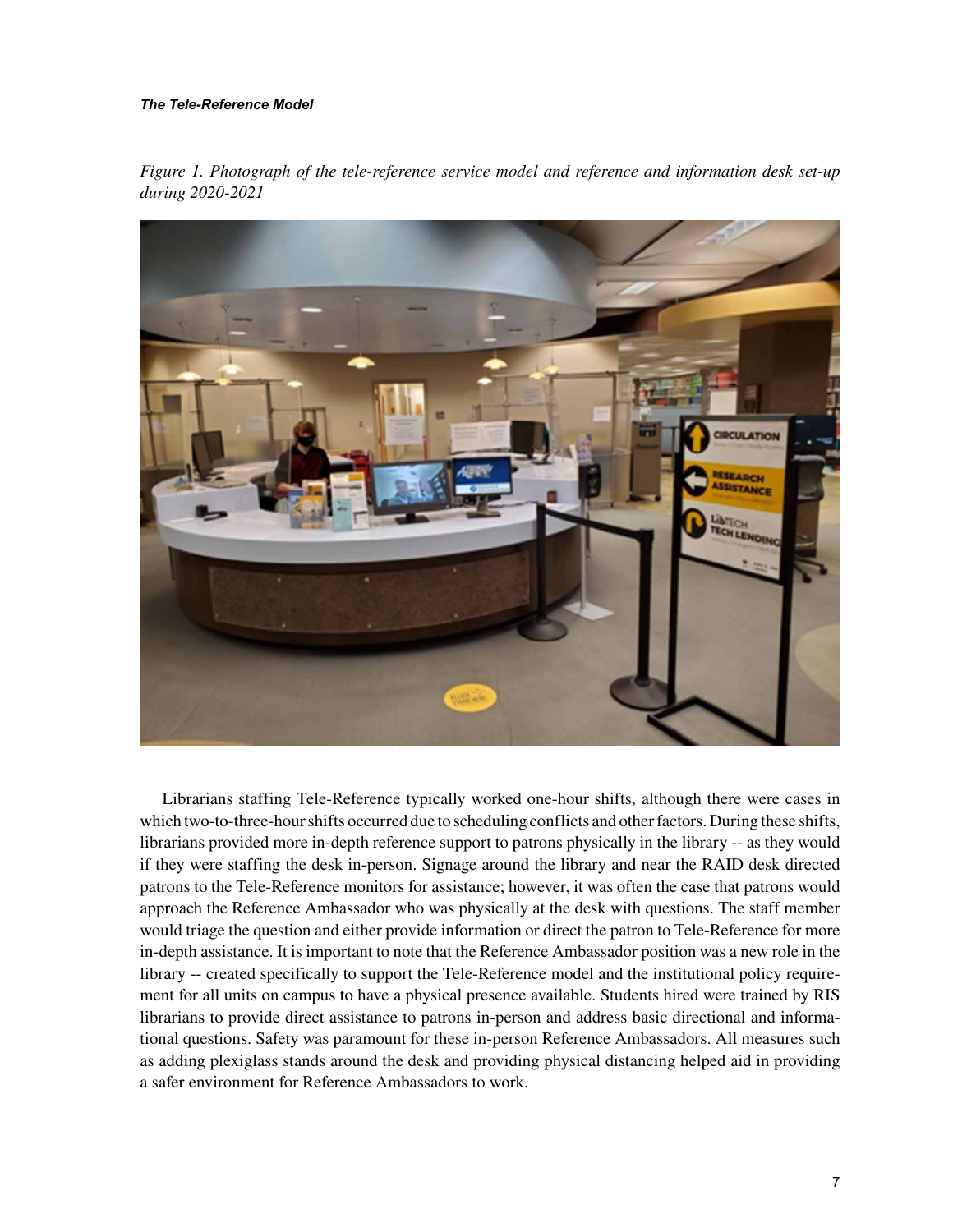#### *The Tele-Reference Model*

*Figure 1. Photograph of the tele-reference service model and reference and information desk set-up during 2020-2021*



Librarians staffing Tele-Reference typically worked one-hour shifts, although there were cases in which two-to-three-hour shifts occurred due to scheduling conflicts and other factors. During these shifts, librarians provided more in-depth reference support to patrons physically in the library -- as they would if they were staffing the desk in-person. Signage around the library and near the RAID desk directed patrons to the Tele-Reference monitors for assistance; however, it was often the case that patrons would approach the Reference Ambassador who was physically at the desk with questions. The staff member would triage the question and either provide information or direct the patron to Tele-Reference for more in-depth assistance. It is important to note that the Reference Ambassador position was a new role in the library -- created specifically to support the Tele-Reference model and the institutional policy requirement for all units on campus to have a physical presence available. Students hired were trained by RIS librarians to provide direct assistance to patrons in-person and address basic directional and informational questions. Safety was paramount for these in-person Reference Ambassadors. All measures such as adding plexiglass stands around the desk and providing physical distancing helped aid in providing a safer environment for Reference Ambassadors to work.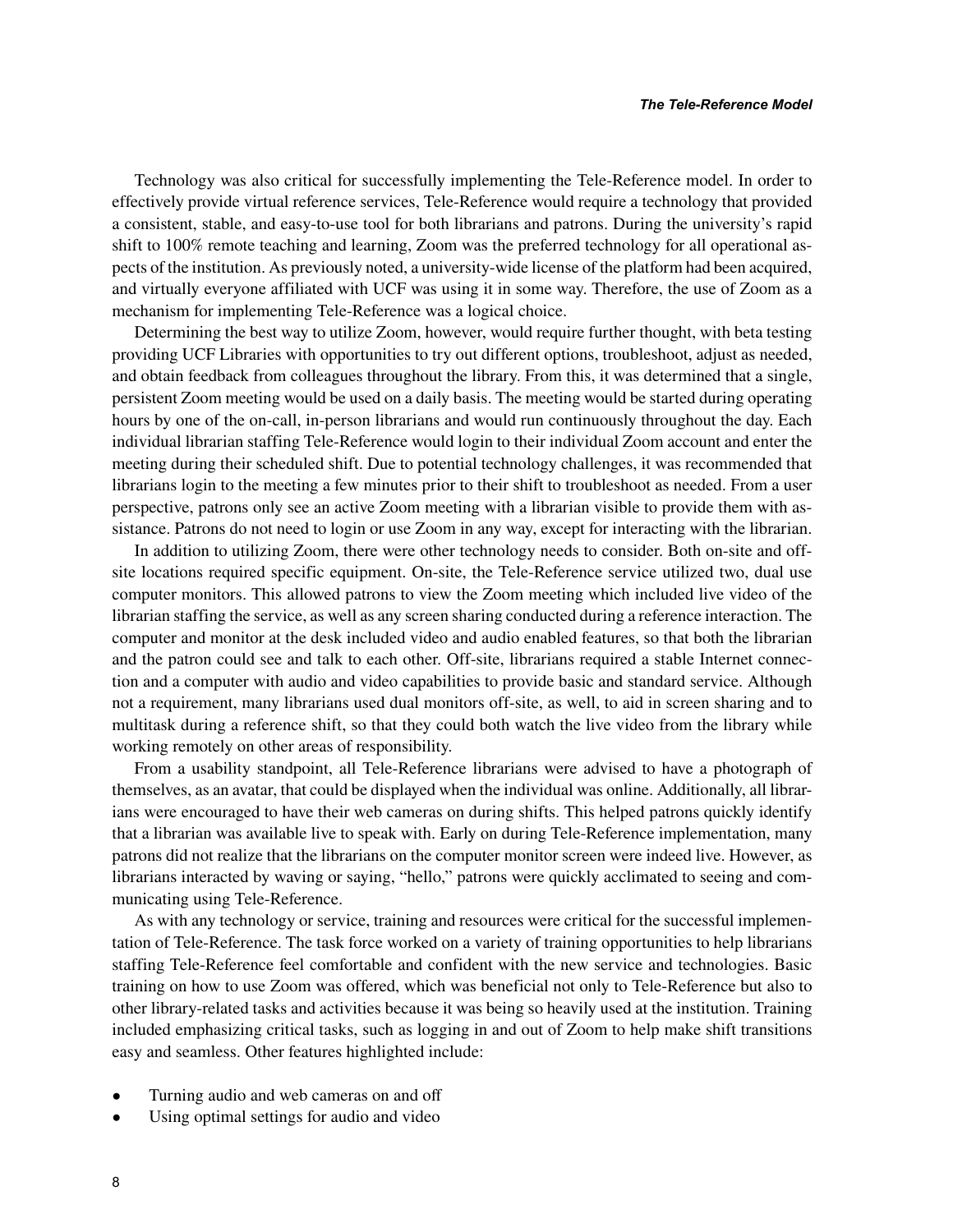Technology was also critical for successfully implementing the Tele-Reference model. In order to effectively provide virtual reference services, Tele-Reference would require a technology that provided a consistent, stable, and easy-to-use tool for both librarians and patrons. During the university's rapid shift to 100% remote teaching and learning, Zoom was the preferred technology for all operational aspects of the institution. As previously noted, a university-wide license of the platform had been acquired, and virtually everyone affiliated with UCF was using it in some way. Therefore, the use of Zoom as a mechanism for implementing Tele-Reference was a logical choice.

Determining the best way to utilize Zoom, however, would require further thought, with beta testing providing UCF Libraries with opportunities to try out different options, troubleshoot, adjust as needed, and obtain feedback from colleagues throughout the library. From this, it was determined that a single, persistent Zoom meeting would be used on a daily basis. The meeting would be started during operating hours by one of the on-call, in-person librarians and would run continuously throughout the day. Each individual librarian staffing Tele-Reference would login to their individual Zoom account and enter the meeting during their scheduled shift. Due to potential technology challenges, it was recommended that librarians login to the meeting a few minutes prior to their shift to troubleshoot as needed. From a user perspective, patrons only see an active Zoom meeting with a librarian visible to provide them with assistance. Patrons do not need to login or use Zoom in any way, except for interacting with the librarian.

In addition to utilizing Zoom, there were other technology needs to consider. Both on-site and offsite locations required specific equipment. On-site, the Tele-Reference service utilized two, dual use computer monitors. This allowed patrons to view the Zoom meeting which included live video of the librarian staffing the service, as well as any screen sharing conducted during a reference interaction. The computer and monitor at the desk included video and audio enabled features, so that both the librarian and the patron could see and talk to each other. Off-site, librarians required a stable Internet connection and a computer with audio and video capabilities to provide basic and standard service. Although not a requirement, many librarians used dual monitors off-site, as well, to aid in screen sharing and to multitask during a reference shift, so that they could both watch the live video from the library while working remotely on other areas of responsibility.

From a usability standpoint, all Tele-Reference librarians were advised to have a photograph of themselves, as an avatar, that could be displayed when the individual was online. Additionally, all librarians were encouraged to have their web cameras on during shifts. This helped patrons quickly identify that a librarian was available live to speak with. Early on during Tele-Reference implementation, many patrons did not realize that the librarians on the computer monitor screen were indeed live. However, as librarians interacted by waving or saying, "hello," patrons were quickly acclimated to seeing and communicating using Tele-Reference.

As with any technology or service, training and resources were critical for the successful implementation of Tele-Reference. The task force worked on a variety of training opportunities to help librarians staffing Tele-Reference feel comfortable and confident with the new service and technologies. Basic training on how to use Zoom was offered, which was beneficial not only to Tele-Reference but also to other library-related tasks and activities because it was being so heavily used at the institution. Training included emphasizing critical tasks, such as logging in and out of Zoom to help make shift transitions easy and seamless. Other features highlighted include:

- Turning audio and web cameras on and off
- Using optimal settings for audio and video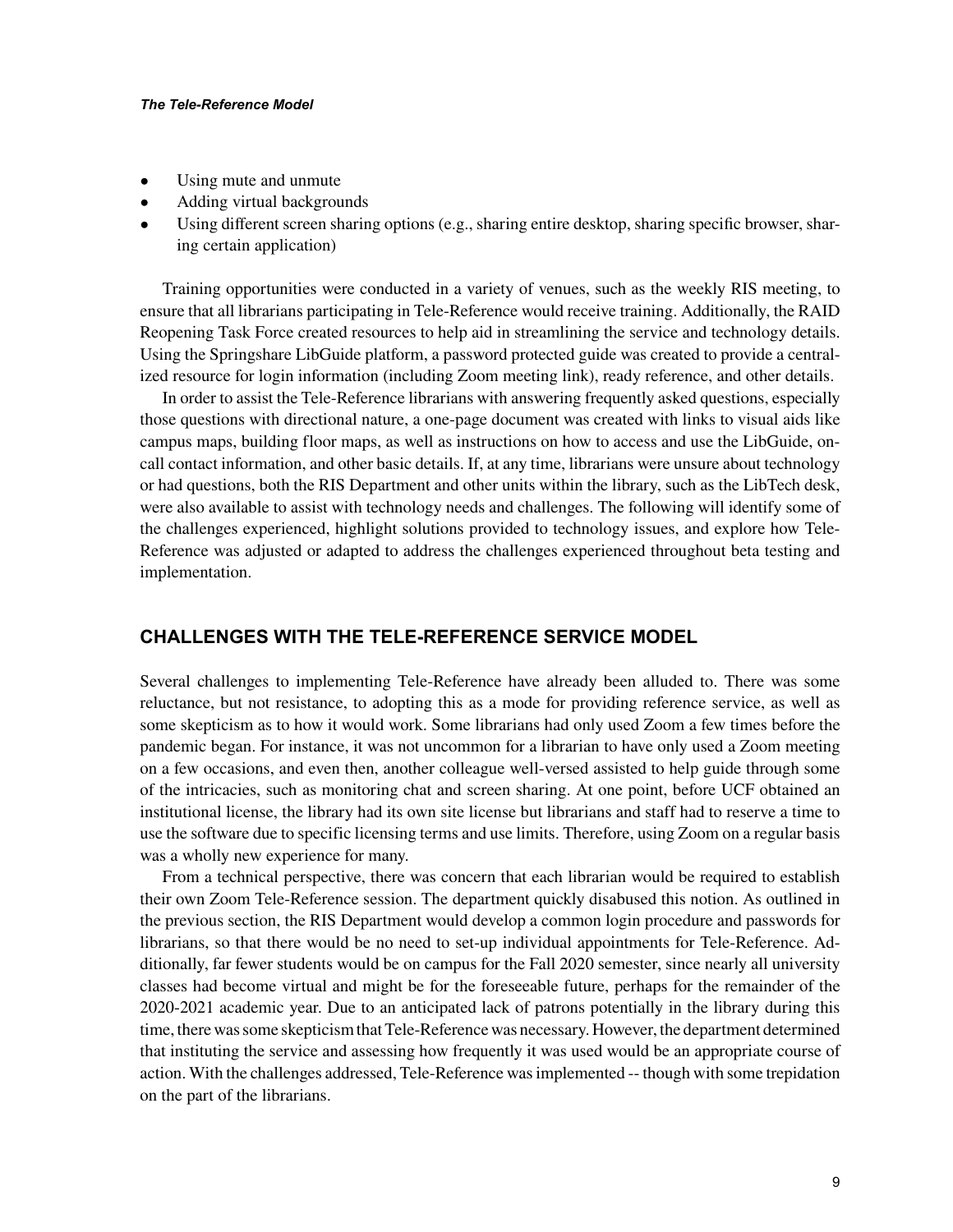#### *The Tele-Reference Model*

- Using mute and unmute
- Adding virtual backgrounds
- Using different screen sharing options (e.g., sharing entire desktop, sharing specific browser, sharing certain application)

Training opportunities were conducted in a variety of venues, such as the weekly RIS meeting, to ensure that all librarians participating in Tele-Reference would receive training. Additionally, the RAID Reopening Task Force created resources to help aid in streamlining the service and technology details. Using the Springshare LibGuide platform, a password protected guide was created to provide a centralized resource for login information (including Zoom meeting link), ready reference, and other details.

In order to assist the Tele-Reference librarians with answering frequently asked questions, especially those questions with directional nature, a one-page document was created with links to visual aids like campus maps, building floor maps, as well as instructions on how to access and use the LibGuide, oncall contact information, and other basic details. If, at any time, librarians were unsure about technology or had questions, both the RIS Department and other units within the library, such as the LibTech desk, were also available to assist with technology needs and challenges. The following will identify some of the challenges experienced, highlight solutions provided to technology issues, and explore how Tele-Reference was adjusted or adapted to address the challenges experienced throughout beta testing and implementation.

#### **CHALLENGES WITH THE TELE-REFERENCE SERVICE MODEL**

Several challenges to implementing Tele-Reference have already been alluded to. There was some reluctance, but not resistance, to adopting this as a mode for providing reference service, as well as some skepticism as to how it would work. Some librarians had only used Zoom a few times before the pandemic began. For instance, it was not uncommon for a librarian to have only used a Zoom meeting on a few occasions, and even then, another colleague well-versed assisted to help guide through some of the intricacies, such as monitoring chat and screen sharing. At one point, before UCF obtained an institutional license, the library had its own site license but librarians and staff had to reserve a time to use the software due to specific licensing terms and use limits. Therefore, using Zoom on a regular basis was a wholly new experience for many.

From a technical perspective, there was concern that each librarian would be required to establish their own Zoom Tele-Reference session. The department quickly disabused this notion. As outlined in the previous section, the RIS Department would develop a common login procedure and passwords for librarians, so that there would be no need to set-up individual appointments for Tele-Reference. Additionally, far fewer students would be on campus for the Fall 2020 semester, since nearly all university classes had become virtual and might be for the foreseeable future, perhaps for the remainder of the 2020-2021 academic year. Due to an anticipated lack of patrons potentially in the library during this time, there was some skepticism that Tele-Reference was necessary. However, the department determined that instituting the service and assessing how frequently it was used would be an appropriate course of action. With the challenges addressed, Tele-Reference was implemented -- though with some trepidation on the part of the librarians.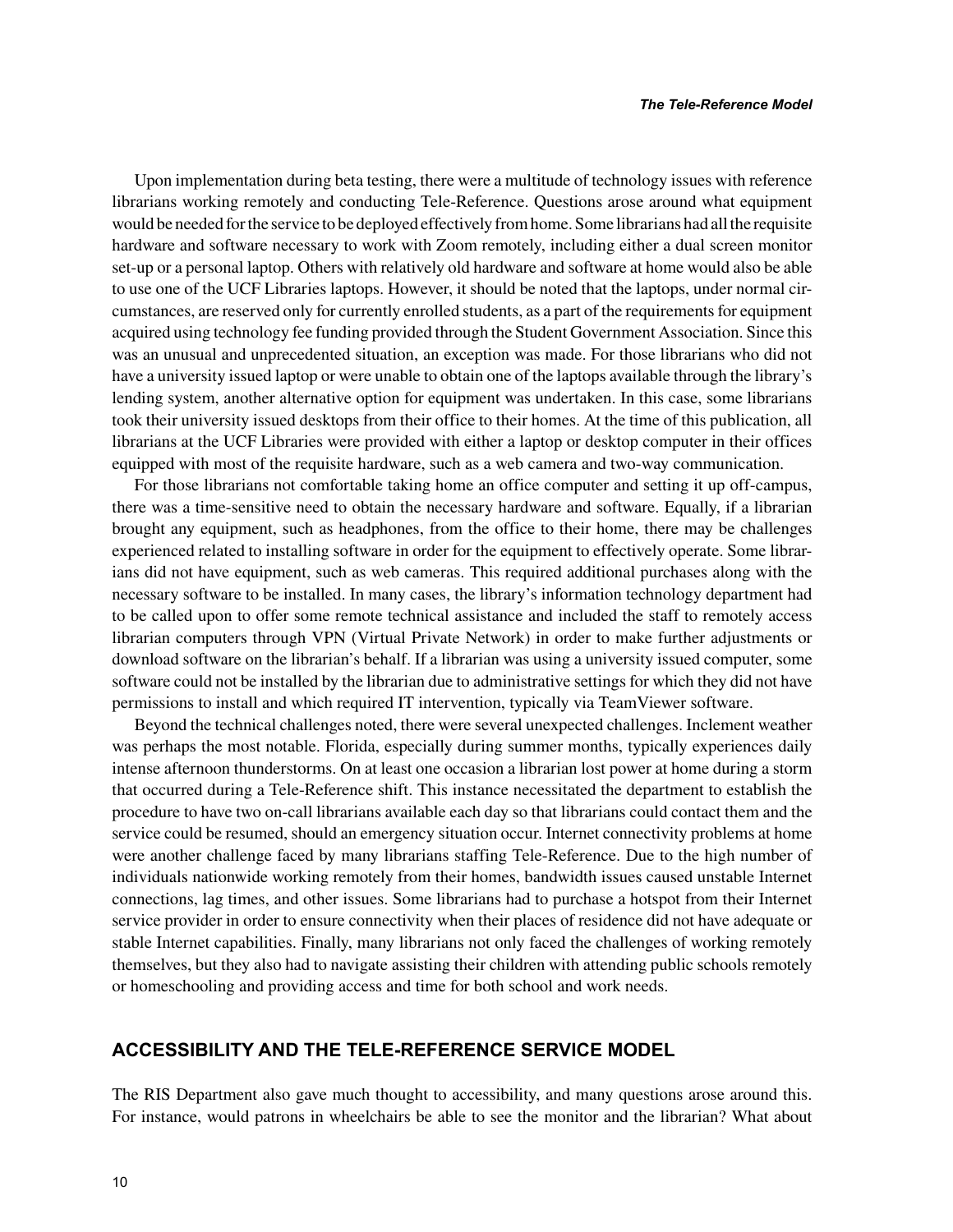Upon implementation during beta testing, there were a multitude of technology issues with reference librarians working remotely and conducting Tele-Reference. Questions arose around what equipment would be needed for the service to be deployed effectively from home. Some librarians had all the requisite hardware and software necessary to work with Zoom remotely, including either a dual screen monitor set-up or a personal laptop. Others with relatively old hardware and software at home would also be able to use one of the UCF Libraries laptops. However, it should be noted that the laptops, under normal circumstances, are reserved only for currently enrolled students, as a part of the requirements for equipment acquired using technology fee funding provided through the Student Government Association. Since this was an unusual and unprecedented situation, an exception was made. For those librarians who did not have a university issued laptop or were unable to obtain one of the laptops available through the library's lending system, another alternative option for equipment was undertaken. In this case, some librarians took their university issued desktops from their office to their homes. At the time of this publication, all librarians at the UCF Libraries were provided with either a laptop or desktop computer in their offices equipped with most of the requisite hardware, such as a web camera and two-way communication.

For those librarians not comfortable taking home an office computer and setting it up off-campus, there was a time-sensitive need to obtain the necessary hardware and software. Equally, if a librarian brought any equipment, such as headphones, from the office to their home, there may be challenges experienced related to installing software in order for the equipment to effectively operate. Some librarians did not have equipment, such as web cameras. This required additional purchases along with the necessary software to be installed. In many cases, the library's information technology department had to be called upon to offer some remote technical assistance and included the staff to remotely access librarian computers through VPN (Virtual Private Network) in order to make further adjustments or download software on the librarian's behalf. If a librarian was using a university issued computer, some software could not be installed by the librarian due to administrative settings for which they did not have permissions to install and which required IT intervention, typically via TeamViewer software.

Beyond the technical challenges noted, there were several unexpected challenges. Inclement weather was perhaps the most notable. Florida, especially during summer months, typically experiences daily intense afternoon thunderstorms. On at least one occasion a librarian lost power at home during a storm that occurred during a Tele-Reference shift. This instance necessitated the department to establish the procedure to have two on-call librarians available each day so that librarians could contact them and the service could be resumed, should an emergency situation occur. Internet connectivity problems at home were another challenge faced by many librarians staffing Tele-Reference. Due to the high number of individuals nationwide working remotely from their homes, bandwidth issues caused unstable Internet connections, lag times, and other issues. Some librarians had to purchase a hotspot from their Internet service provider in order to ensure connectivity when their places of residence did not have adequate or stable Internet capabilities. Finally, many librarians not only faced the challenges of working remotely themselves, but they also had to navigate assisting their children with attending public schools remotely or homeschooling and providing access and time for both school and work needs.

#### **ACCESSIBILITY AND THE TELE-REFERENCE SERVICE MODEL**

The RIS Department also gave much thought to accessibility, and many questions arose around this. For instance, would patrons in wheelchairs be able to see the monitor and the librarian? What about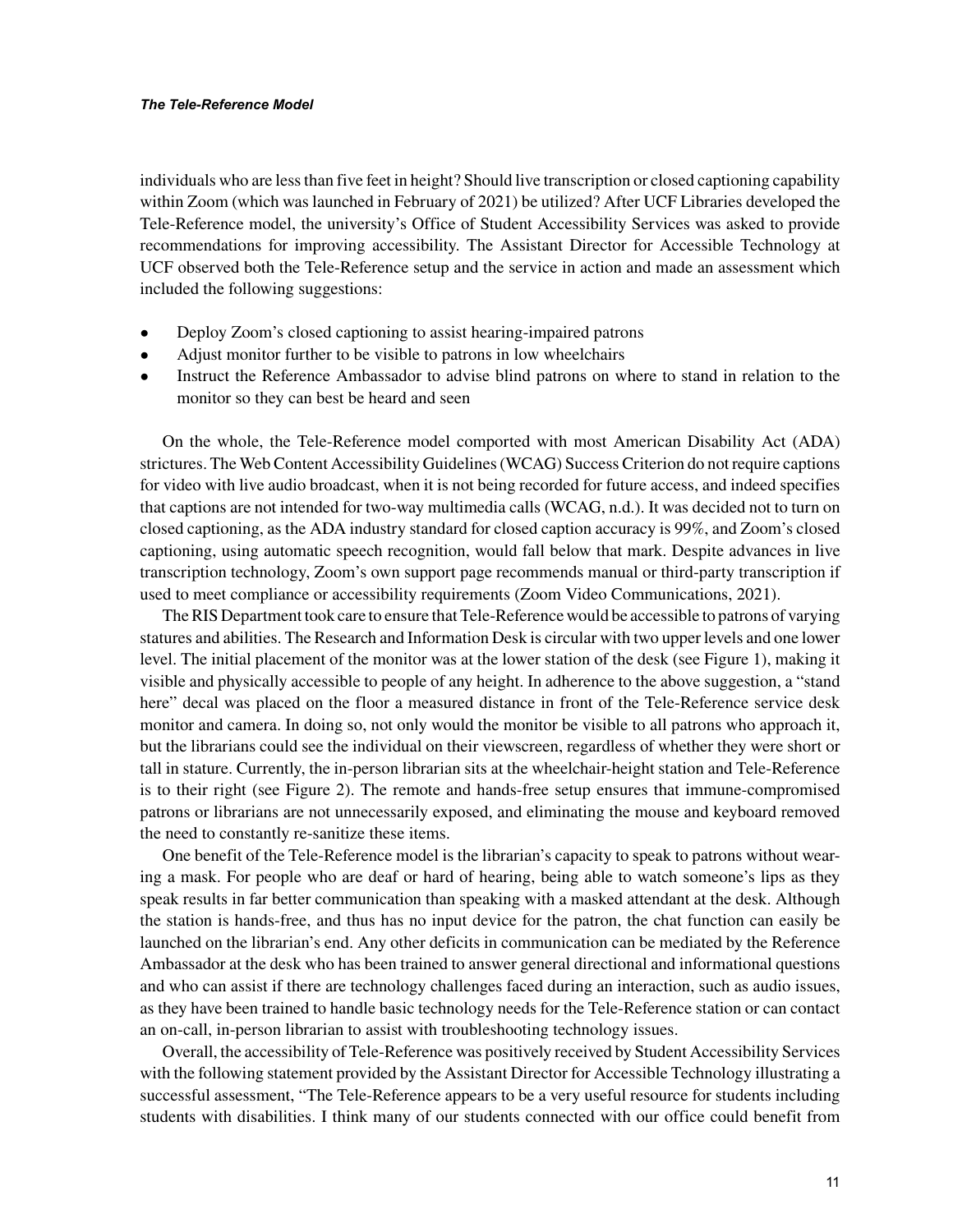individuals who are less than five feet in height? Should live transcription or closed captioning capability within Zoom (which was launched in February of 2021) be utilized? After UCF Libraries developed the Tele-Reference model, the university's Office of Student Accessibility Services was asked to provide recommendations for improving accessibility. The Assistant Director for Accessible Technology at UCF observed both the Tele-Reference setup and the service in action and made an assessment which included the following suggestions:

- Deploy Zoom's closed captioning to assist hearing-impaired patrons
- Adjust monitor further to be visible to patrons in low wheelchairs
- Instruct the Reference Ambassador to advise blind patrons on where to stand in relation to the monitor so they can best be heard and seen

On the whole, the Tele-Reference model comported with most American Disability Act (ADA) strictures. The Web Content Accessibility Guidelines (WCAG) Success Criterion do not require captions for video with live audio broadcast, when it is not being recorded for future access, and indeed specifies that captions are not intended for two-way multimedia calls (WCAG, n.d.). It was decided not to turn on closed captioning, as the ADA industry standard for closed caption accuracy is 99%, and Zoom's closed captioning, using automatic speech recognition, would fall below that mark. Despite advances in live transcription technology, Zoom's own support page recommends manual or third-party transcription if used to meet compliance or accessibility requirements (Zoom Video Communications, 2021).

The RIS Department took care to ensure that Tele-Reference would be accessible to patrons of varying statures and abilities. The Research and Information Desk is circular with two upper levels and one lower level. The initial placement of the monitor was at the lower station of the desk (see Figure 1), making it visible and physically accessible to people of any height. In adherence to the above suggestion, a "stand here" decal was placed on the floor a measured distance in front of the Tele-Reference service desk monitor and camera. In doing so, not only would the monitor be visible to all patrons who approach it, but the librarians could see the individual on their viewscreen, regardless of whether they were short or tall in stature. Currently, the in-person librarian sits at the wheelchair-height station and Tele-Reference is to their right (see Figure 2). The remote and hands-free setup ensures that immune-compromised patrons or librarians are not unnecessarily exposed, and eliminating the mouse and keyboard removed the need to constantly re-sanitize these items.

One benefit of the Tele-Reference model is the librarian's capacity to speak to patrons without wearing a mask. For people who are deaf or hard of hearing, being able to watch someone's lips as they speak results in far better communication than speaking with a masked attendant at the desk. Although the station is hands-free, and thus has no input device for the patron, the chat function can easily be launched on the librarian's end. Any other deficits in communication can be mediated by the Reference Ambassador at the desk who has been trained to answer general directional and informational questions and who can assist if there are technology challenges faced during an interaction, such as audio issues, as they have been trained to handle basic technology needs for the Tele-Reference station or can contact an on-call, in-person librarian to assist with troubleshooting technology issues.

Overall, the accessibility of Tele-Reference was positively received by Student Accessibility Services with the following statement provided by the Assistant Director for Accessible Technology illustrating a successful assessment, "The Tele-Reference appears to be a very useful resource for students including students with disabilities. I think many of our students connected with our office could benefit from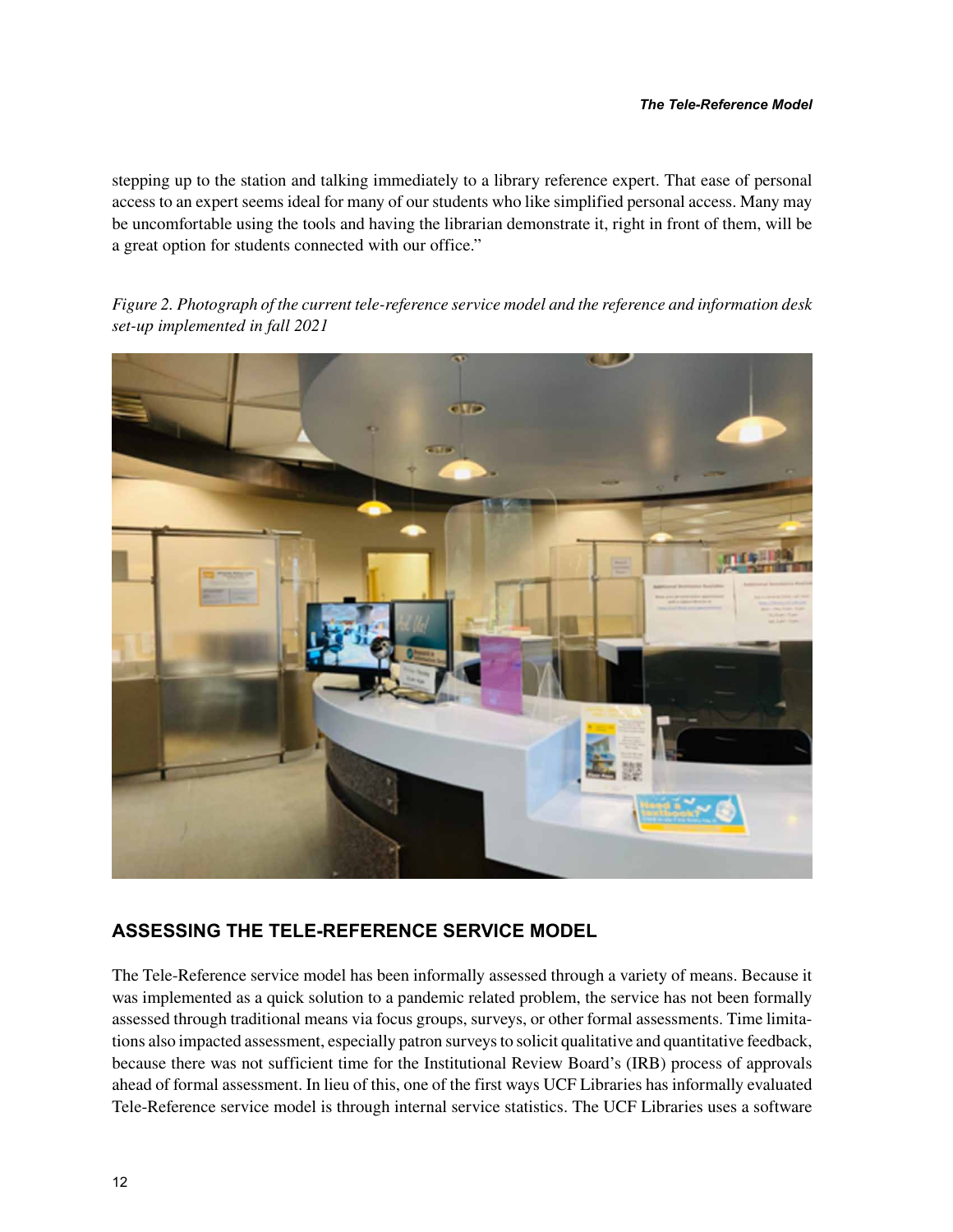stepping up to the station and talking immediately to a library reference expert. That ease of personal access to an expert seems ideal for many of our students who like simplified personal access. Many may be uncomfortable using the tools and having the librarian demonstrate it, right in front of them, will be a great option for students connected with our office."

*Figure 2. Photograph of the current tele-reference service model and the reference and information desk set-up implemented in fall 2021*



#### **ASSESSING THE TELE-REFERENCE SERVICE MODEL**

The Tele-Reference service model has been informally assessed through a variety of means. Because it was implemented as a quick solution to a pandemic related problem, the service has not been formally assessed through traditional means via focus groups, surveys, or other formal assessments. Time limitations also impacted assessment, especially patron surveys to solicit qualitative and quantitative feedback, because there was not sufficient time for the Institutional Review Board's (IRB) process of approvals ahead of formal assessment. In lieu of this, one of the first ways UCF Libraries has informally evaluated Tele-Reference service model is through internal service statistics. The UCF Libraries uses a software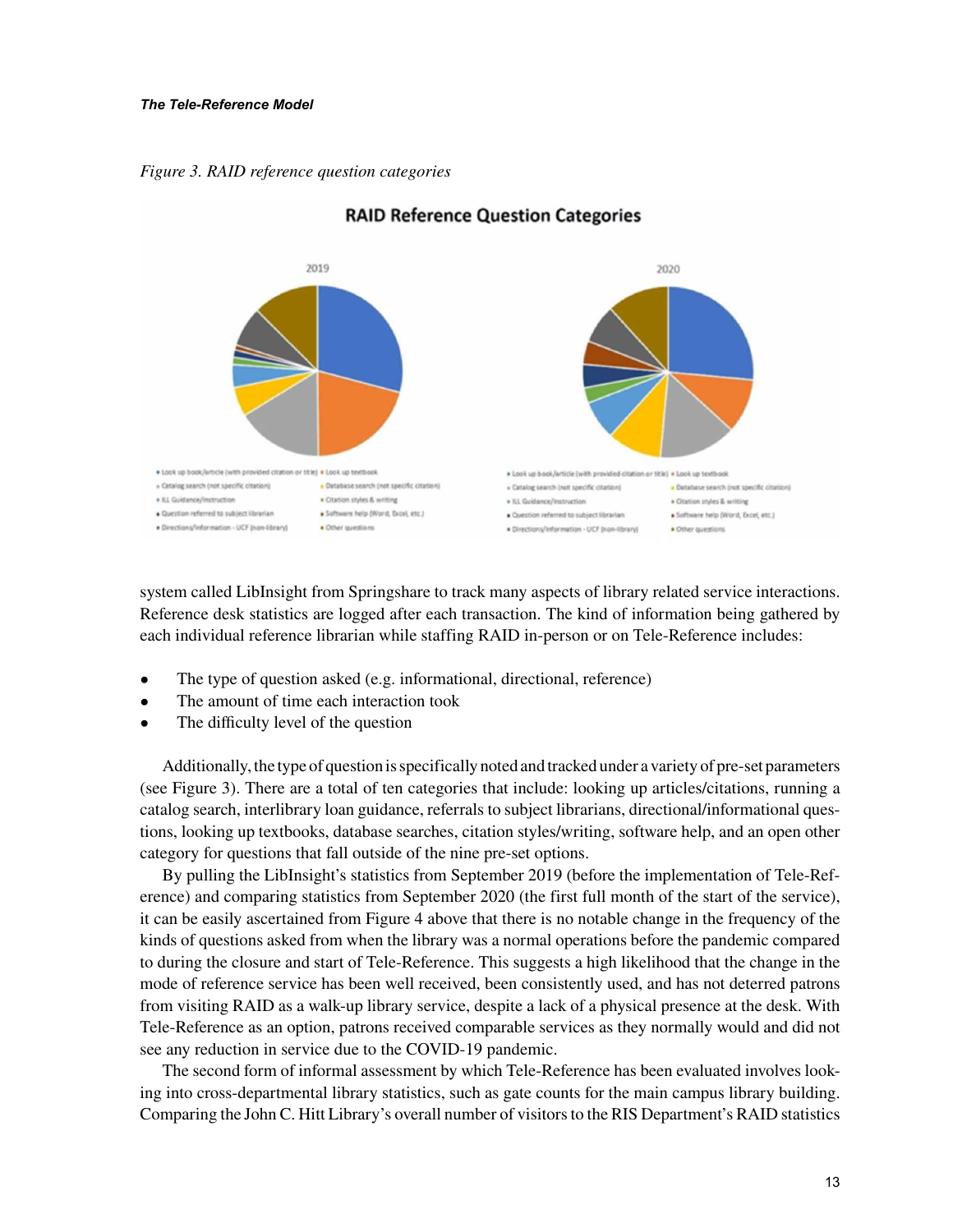*Figure 3. RAID reference question categories*



#### **RAID Reference Question Categories**

system called LibInsight from Springshare to track many aspects of library related service interactions. Reference desk statistics are logged after each transaction. The kind of information being gathered by each individual reference librarian while staffing RAID in-person or on Tele-Reference includes:

- The type of question asked (e.g. informational, directional, reference)
- The amount of time each interaction took
- The difficulty level of the question

Additionally, the type of question is specifically noted and tracked under a variety of pre-set parameters (see Figure 3). There are a total of ten categories that include: looking up articles/citations, running a catalog search, interlibrary loan guidance, referrals to subject librarians, directional/informational questions, looking up textbooks, database searches, citation styles/writing, software help, and an open other category for questions that fall outside of the nine pre-set options.

By pulling the LibInsight's statistics from September 2019 (before the implementation of Tele-Reference) and comparing statistics from September 2020 (the first full month of the start of the service), it can be easily ascertained from Figure 4 above that there is no notable change in the frequency of the kinds of questions asked from when the library was a normal operations before the pandemic compared to during the closure and start of Tele-Reference. This suggests a high likelihood that the change in the mode of reference service has been well received, been consistently used, and has not deterred patrons from visiting RAID as a walk-up library service, despite a lack of a physical presence at the desk. With Tele-Reference as an option, patrons received comparable services as they normally would and did not see any reduction in service due to the COVID-19 pandemic.

The second form of informal assessment by which Tele-Reference has been evaluated involves looking into cross-departmental library statistics, such as gate counts for the main campus library building. Comparing the John C. Hitt Library's overall number of visitors to the RIS Department's RAID statistics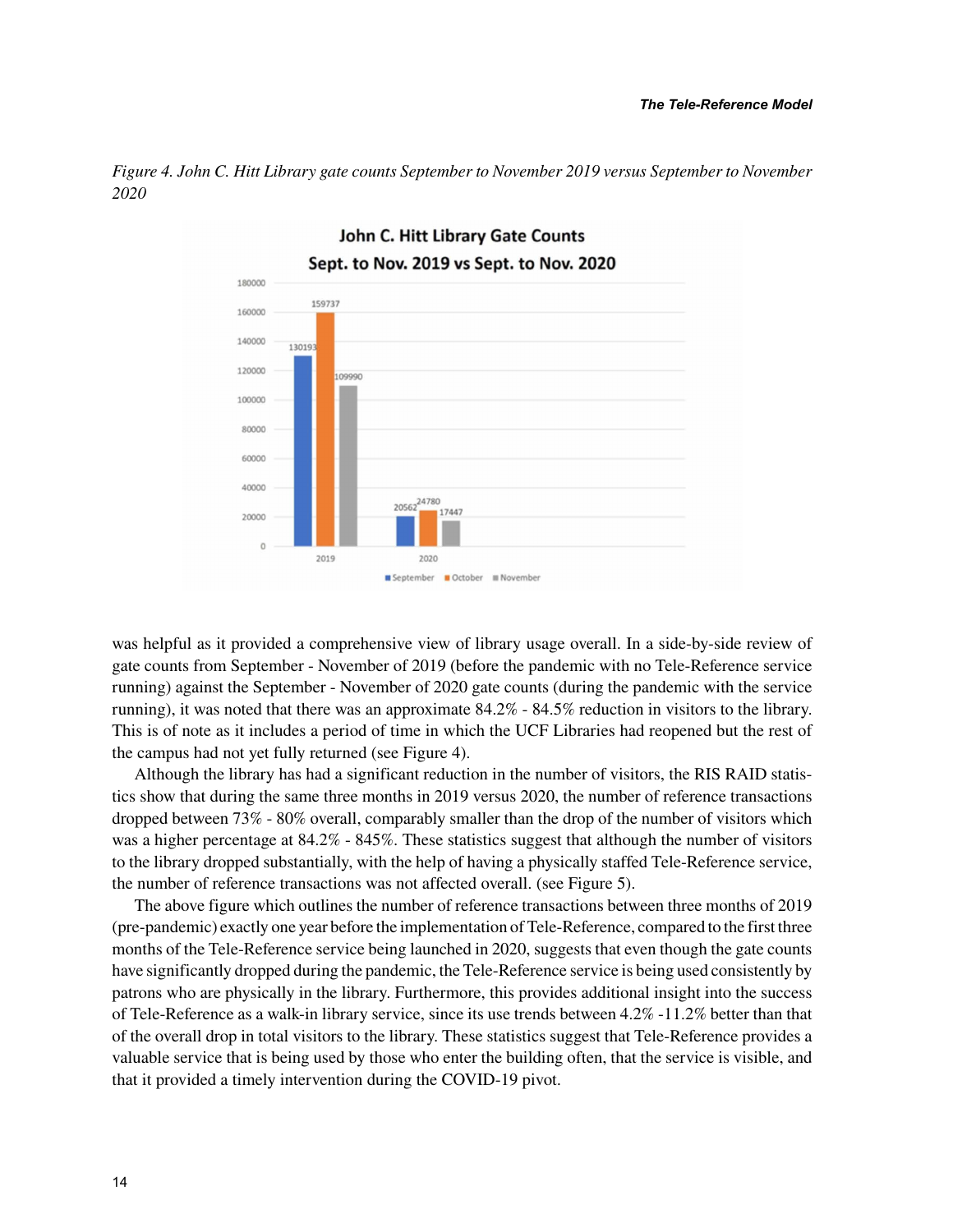

*Figure 4. John C. Hitt Library gate counts September to November 2019 versus September to November 2020*

was helpful as it provided a comprehensive view of library usage overall. In a side-by-side review of gate counts from September - November of 2019 (before the pandemic with no Tele-Reference service running) against the September - November of 2020 gate counts (during the pandemic with the service running), it was noted that there was an approximate 84.2% - 84.5% reduction in visitors to the library. This is of note as it includes a period of time in which the UCF Libraries had reopened but the rest of the campus had not yet fully returned (see Figure 4).

Although the library has had a significant reduction in the number of visitors, the RIS RAID statistics show that during the same three months in 2019 versus 2020, the number of reference transactions dropped between 73% - 80% overall, comparably smaller than the drop of the number of visitors which was a higher percentage at  $84.2\%$  -  $845\%$ . These statistics suggest that although the number of visitors to the library dropped substantially, with the help of having a physically staffed Tele-Reference service, the number of reference transactions was not affected overall. (see Figure 5).

The above figure which outlines the number of reference transactions between three months of 2019 (pre-pandemic) exactly one year before the implementation of Tele-Reference, compared to the first three months of the Tele-Reference service being launched in 2020, suggests that even though the gate counts have significantly dropped during the pandemic, the Tele-Reference service is being used consistently by patrons who are physically in the library. Furthermore, this provides additional insight into the success of Tele-Reference as a walk-in library service, since its use trends between 4.2% -11.2% better than that of the overall drop in total visitors to the library. These statistics suggest that Tele-Reference provides a valuable service that is being used by those who enter the building often, that the service is visible, and that it provided a timely intervention during the COVID-19 pivot.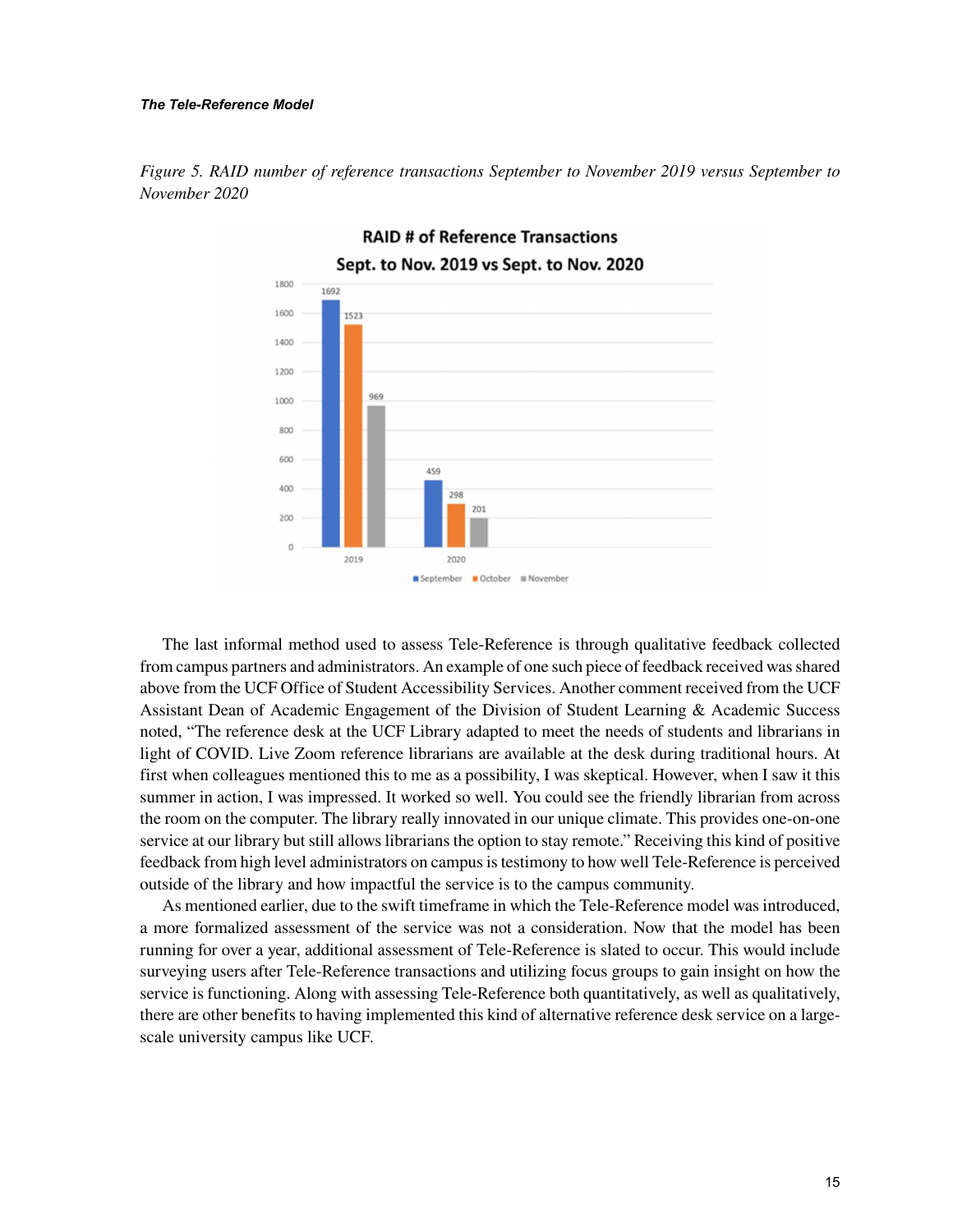#### *The Tele-Reference Model*



*Figure 5. RAID number of reference transactions September to November 2019 versus September to November 2020*

The last informal method used to assess Tele-Reference is through qualitative feedback collected from campus partners and administrators. An example of one such piece of feedback received was shared above from the UCF Office of Student Accessibility Services. Another comment received from the UCF Assistant Dean of Academic Engagement of the Division of Student Learning & Academic Success noted, "The reference desk at the UCF Library adapted to meet the needs of students and librarians in light of COVID. Live Zoom reference librarians are available at the desk during traditional hours. At first when colleagues mentioned this to me as a possibility, I was skeptical. However, when I saw it this summer in action, I was impressed. It worked so well. You could see the friendly librarian from across the room on the computer. The library really innovated in our unique climate. This provides one-on-one service at our library but still allows librarians the option to stay remote." Receiving this kind of positive feedback from high level administrators on campus is testimony to how well Tele-Reference is perceived outside of the library and how impactful the service is to the campus community.

As mentioned earlier, due to the swift timeframe in which the Tele-Reference model was introduced, a more formalized assessment of the service was not a consideration. Now that the model has been running for over a year, additional assessment of Tele-Reference is slated to occur. This would include surveying users after Tele-Reference transactions and utilizing focus groups to gain insight on how the service is functioning. Along with assessing Tele-Reference both quantitatively, as well as qualitatively, there are other benefits to having implemented this kind of alternative reference desk service on a largescale university campus like UCF.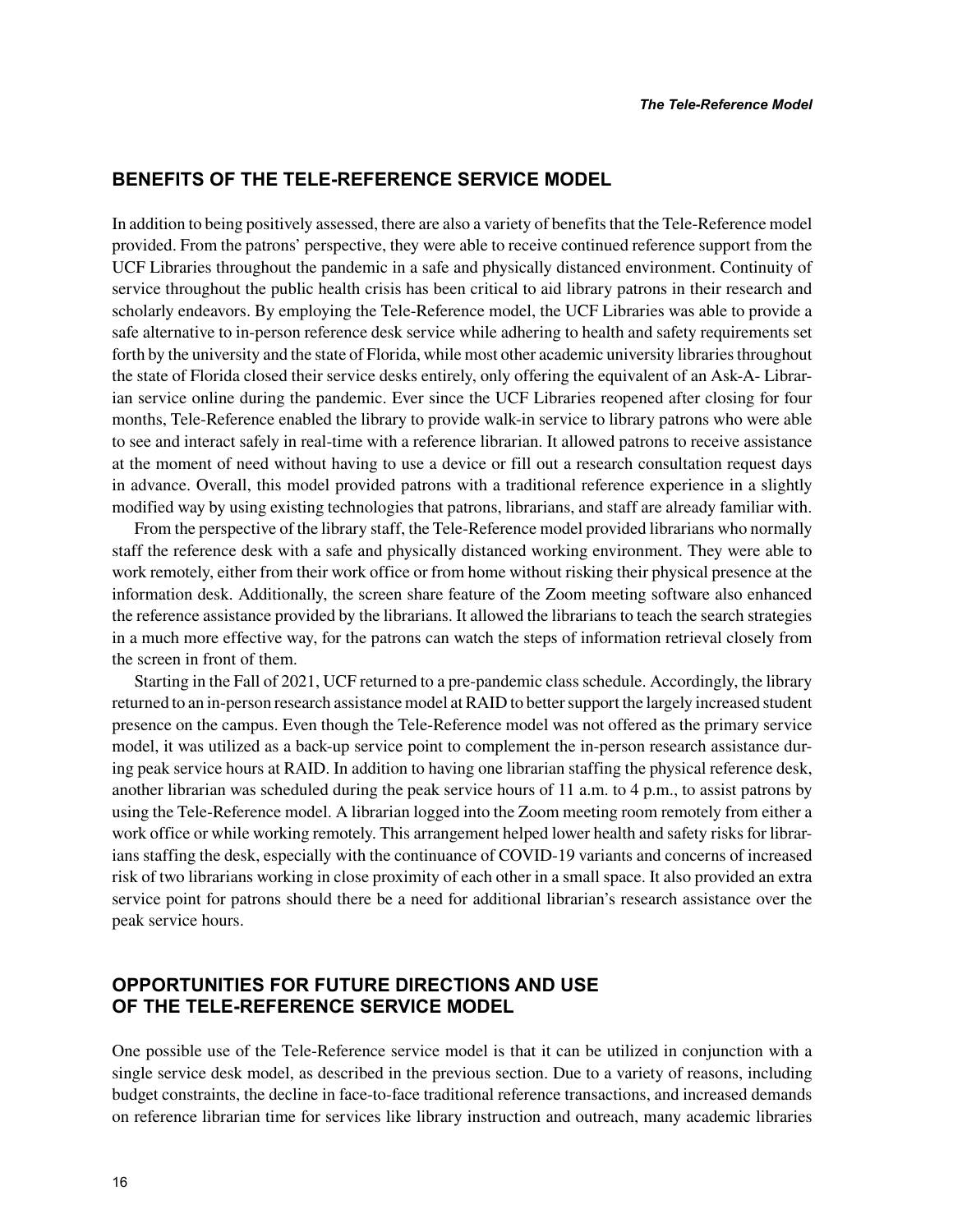#### **BENEFITS OF THE TELE-REFERENCE SERVICE MODEL**

In addition to being positively assessed, there are also a variety of benefits that the Tele-Reference model provided. From the patrons' perspective, they were able to receive continued reference support from the UCF Libraries throughout the pandemic in a safe and physically distanced environment. Continuity of service throughout the public health crisis has been critical to aid library patrons in their research and scholarly endeavors. By employing the Tele-Reference model, the UCF Libraries was able to provide a safe alternative to in-person reference desk service while adhering to health and safety requirements set forth by the university and the state of Florida, while most other academic university libraries throughout the state of Florida closed their service desks entirely, only offering the equivalent of an Ask-A- Librarian service online during the pandemic. Ever since the UCF Libraries reopened after closing for four months, Tele-Reference enabled the library to provide walk-in service to library patrons who were able to see and interact safely in real-time with a reference librarian. It allowed patrons to receive assistance at the moment of need without having to use a device or fill out a research consultation request days in advance. Overall, this model provided patrons with a traditional reference experience in a slightly modified way by using existing technologies that patrons, librarians, and staff are already familiar with.

From the perspective of the library staff, the Tele-Reference model provided librarians who normally staff the reference desk with a safe and physically distanced working environment. They were able to work remotely, either from their work office or from home without risking their physical presence at the information desk. Additionally, the screen share feature of the Zoom meeting software also enhanced the reference assistance provided by the librarians. It allowed the librarians to teach the search strategies in a much more effective way, for the patrons can watch the steps of information retrieval closely from the screen in front of them.

Starting in the Fall of 2021, UCF returned to a pre-pandemic class schedule. Accordingly, the library returned to an in-person research assistance model at RAID to better support the largely increased student presence on the campus. Even though the Tele-Reference model was not offered as the primary service model, it was utilized as a back-up service point to complement the in-person research assistance during peak service hours at RAID. In addition to having one librarian staffing the physical reference desk, another librarian was scheduled during the peak service hours of 11 a.m. to 4 p.m., to assist patrons by using the Tele-Reference model. A librarian logged into the Zoom meeting room remotely from either a work office or while working remotely. This arrangement helped lower health and safety risks for librarians staffing the desk, especially with the continuance of COVID-19 variants and concerns of increased risk of two librarians working in close proximity of each other in a small space. It also provided an extra service point for patrons should there be a need for additional librarian's research assistance over the peak service hours.

#### **OPPORTUNITIES FOR FUTURE DIRECTIONS AND USE OF THE TELE-REFERENCE SERVICE MODEL**

One possible use of the Tele-Reference service model is that it can be utilized in conjunction with a single service desk model, as described in the previous section. Due to a variety of reasons, including budget constraints, the decline in face-to-face traditional reference transactions, and increased demands on reference librarian time for services like library instruction and outreach, many academic libraries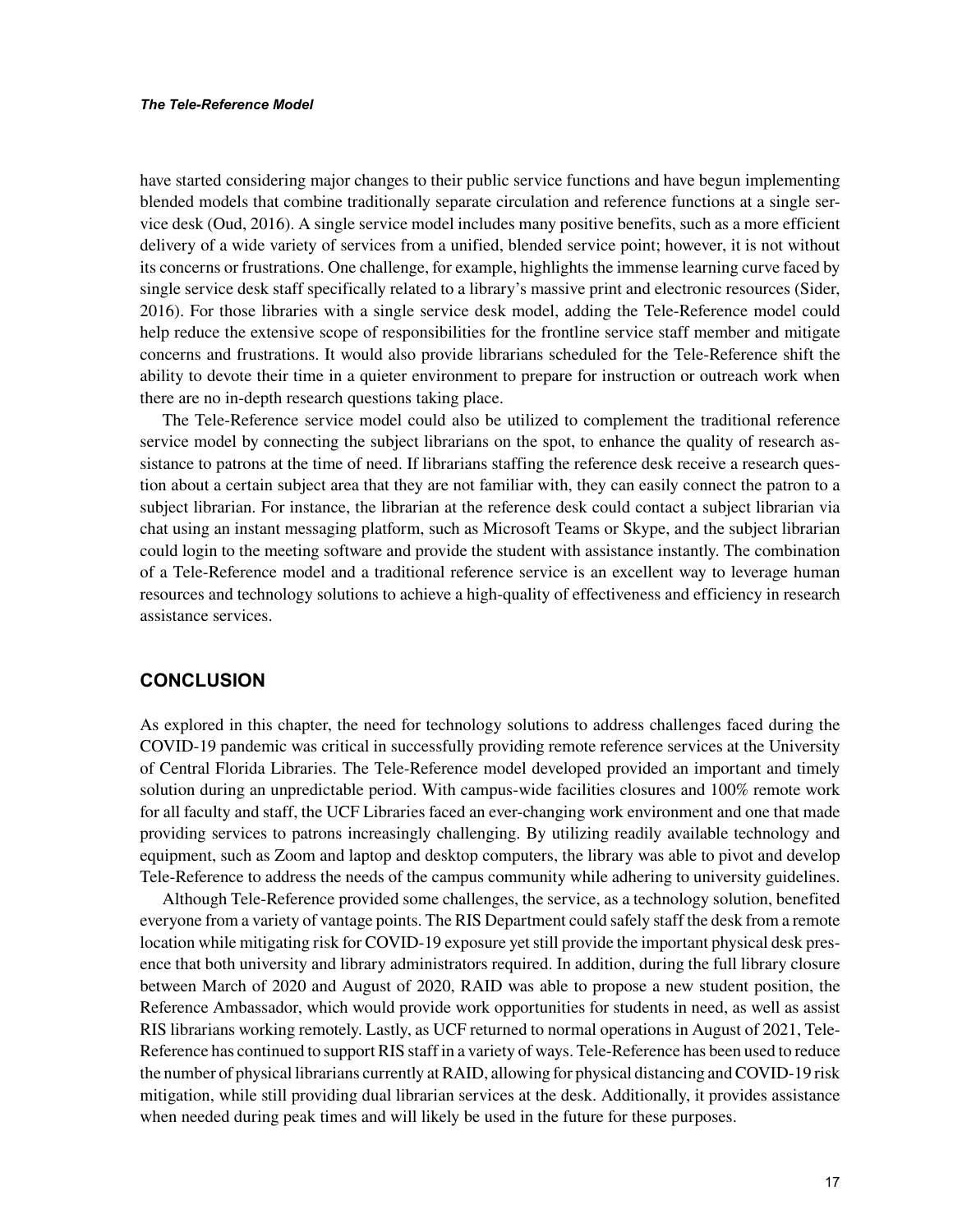have started considering major changes to their public service functions and have begun implementing blended models that combine traditionally separate circulation and reference functions at a single service desk (Oud, 2016). A single service model includes many positive benefits, such as a more efficient delivery of a wide variety of services from a unified, blended service point; however, it is not without its concerns or frustrations. One challenge, for example, highlights the immense learning curve faced by single service desk staff specifically related to a library's massive print and electronic resources (Sider, 2016). For those libraries with a single service desk model, adding the Tele-Reference model could help reduce the extensive scope of responsibilities for the frontline service staff member and mitigate concerns and frustrations. It would also provide librarians scheduled for the Tele-Reference shift the ability to devote their time in a quieter environment to prepare for instruction or outreach work when there are no in-depth research questions taking place.

The Tele-Reference service model could also be utilized to complement the traditional reference service model by connecting the subject librarians on the spot, to enhance the quality of research assistance to patrons at the time of need. If librarians staffing the reference desk receive a research question about a certain subject area that they are not familiar with, they can easily connect the patron to a subject librarian. For instance, the librarian at the reference desk could contact a subject librarian via chat using an instant messaging platform, such as Microsoft Teams or Skype, and the subject librarian could login to the meeting software and provide the student with assistance instantly. The combination of a Tele-Reference model and a traditional reference service is an excellent way to leverage human resources and technology solutions to achieve a high-quality of effectiveness and efficiency in research assistance services.

#### **CONCLUSION**

As explored in this chapter, the need for technology solutions to address challenges faced during the COVID-19 pandemic was critical in successfully providing remote reference services at the University of Central Florida Libraries. The Tele-Reference model developed provided an important and timely solution during an unpredictable period. With campus-wide facilities closures and 100% remote work for all faculty and staff, the UCF Libraries faced an ever-changing work environment and one that made providing services to patrons increasingly challenging. By utilizing readily available technology and equipment, such as Zoom and laptop and desktop computers, the library was able to pivot and develop Tele-Reference to address the needs of the campus community while adhering to university guidelines.

Although Tele-Reference provided some challenges, the service, as a technology solution, benefited everyone from a variety of vantage points. The RIS Department could safely staff the desk from a remote location while mitigating risk for COVID-19 exposure yet still provide the important physical desk presence that both university and library administrators required. In addition, during the full library closure between March of 2020 and August of 2020, RAID was able to propose a new student position, the Reference Ambassador, which would provide work opportunities for students in need, as well as assist RIS librarians working remotely. Lastly, as UCF returned to normal operations in August of 2021, Tele-Reference has continued to support RIS staff in a variety of ways. Tele-Reference has been used to reduce the number of physical librarians currently at RAID, allowing for physical distancing and COVID-19 risk mitigation, while still providing dual librarian services at the desk. Additionally, it provides assistance when needed during peak times and will likely be used in the future for these purposes.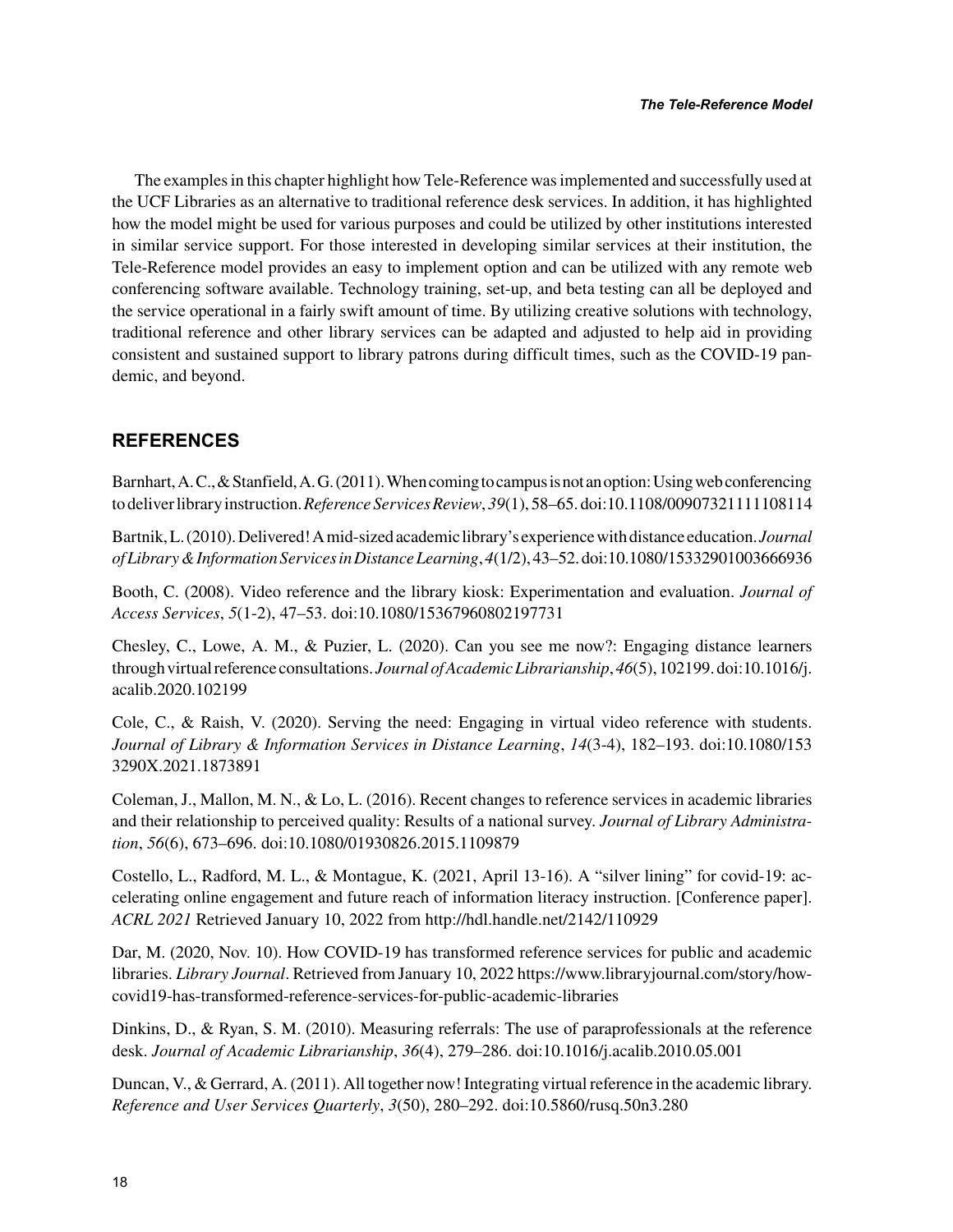The examples in this chapter highlight how Tele-Reference was implemented and successfully used at the UCF Libraries as an alternative to traditional reference desk services. In addition, it has highlighted how the model might be used for various purposes and could be utilized by other institutions interested in similar service support. For those interested in developing similar services at their institution, the Tele-Reference model provides an easy to implement option and can be utilized with any remote web conferencing software available. Technology training, set-up, and beta testing can all be deployed and the service operational in a fairly swift amount of time. By utilizing creative solutions with technology, traditional reference and other library services can be adapted and adjusted to help aid in providing consistent and sustained support to library patrons during difficult times, such as the COVID-19 pandemic, and beyond.

#### **REFERENCES**

Barnhart, A. C., & Stanfield, A. G. (2011). When coming to campus is not an option: Using web conferencing to deliver library instruction. *Reference Services Review*, *39*(1), 58–65. doi:10.1108/00907321111108114

Bartnik, L. (2010). Delivered! A mid-sized academic library's experience with distance education. *Journal of Library & Information Services in Distance Learning*, *4*(1/2), 43–52. doi:10.1080/15332901003666936

Booth, C. (2008). Video reference and the library kiosk: Experimentation and evaluation. *Journal of Access Services*, *5*(1-2), 47–53. doi:10.1080/15367960802197731

Chesley, C., Lowe, A. M., & Puzier, L. (2020). Can you see me now?: Engaging distance learners through virtual reference consultations. *Journal of Academic Librarianship*, *46*(5), 102199. doi:10.1016/j. acalib.2020.102199

Cole, C., & Raish, V. (2020). Serving the need: Engaging in virtual video reference with students. *Journal of Library & Information Services in Distance Learning*, *14*(3-4), 182–193. doi:10.1080/153 3290X.2021.1873891

Coleman, J., Mallon, M. N., & Lo, L. (2016). Recent changes to reference services in academic libraries and their relationship to perceived quality: Results of a national survey. *Journal of Library Administration*, *56*(6), 673–696. doi:10.1080/01930826.2015.1109879

Costello, L., Radford, M. L., & Montague, K. (2021, April 13-16). A "silver lining" for covid-19: accelerating online engagement and future reach of information literacy instruction. [Conference paper]. *ACRL 2021* Retrieved January 10, 2022 from http://hdl.handle.net/2142/110929

Dar, M. (2020, Nov. 10). How COVID-19 has transformed reference services for public and academic libraries. *Library Journal*. Retrieved from January 10, 2022 [https://www.libraryjournal.com/story/how](https://www.libraryjournal.com/story/how-covid19-has-transformed-reference-services-for-public-academic-libraries)[covid19-has-transformed-reference-services-for-public-academic-libraries](https://www.libraryjournal.com/story/how-covid19-has-transformed-reference-services-for-public-academic-libraries)

Dinkins, D., & Ryan, S. M. (2010). Measuring referrals: The use of paraprofessionals at the reference desk. *Journal of Academic Librarianship*, *36*(4), 279–286. doi:10.1016/j.acalib.2010.05.001

Duncan, V., & Gerrard, A. (2011). All together now! Integrating virtual reference in the academic library. *Reference and User Services Quarterly*, *3*(50), 280–292. doi:10.5860/rusq.50n3.280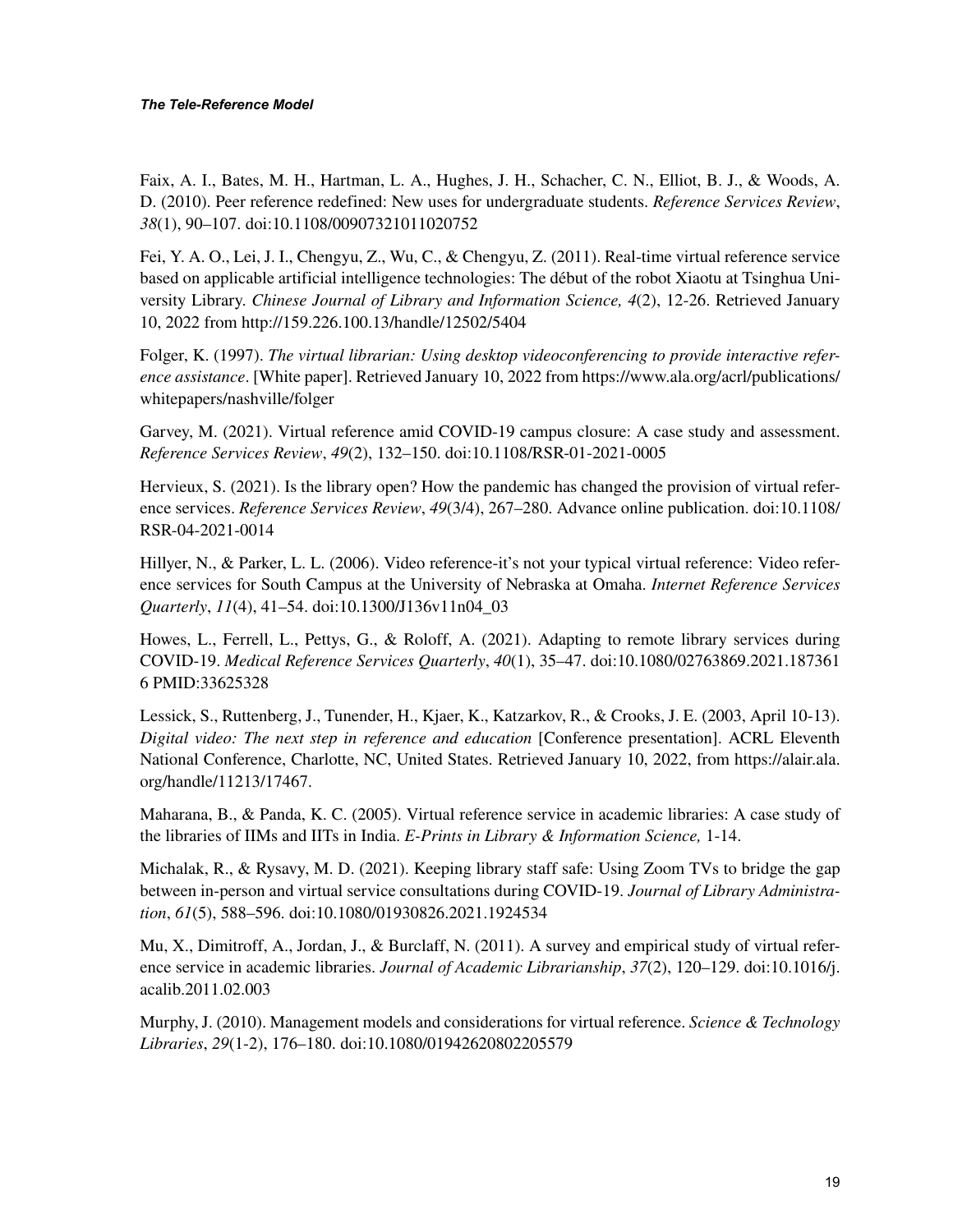Faix, A. I., Bates, M. H., Hartman, L. A., Hughes, J. H., Schacher, C. N., Elliot, B. J., & Woods, A. D. (2010). Peer reference redefined: New uses for undergraduate students. *Reference Services Review*, *38*(1), 90–107. doi:10.1108/00907321011020752

Fei, Y. A. O., Lei, J. I., Chengyu, Z., Wu, C., & Chengyu, Z. (2011). Real-time virtual reference service based on applicable artificial intelligence technologies: The début of the robot Xiaotu at Tsinghua University Library. *Chinese Journal of Library and Information Science, 4*(2), 12-26. Retrieved January 10, 2022 from<http://159.226.100.13/handle/12502/5404>

Folger, K. (1997). *The virtual librarian: Using desktop videoconferencing to provide interactive reference assistance*. [White paper]. Retrieved January 10, 2022 from [https://www.ala.org/acrl/publications/](https://www.ala.org/acrl/publications/whitepapers/nashville/folger) [whitepapers/nashville/folger](https://www.ala.org/acrl/publications/whitepapers/nashville/folger)

Garvey, M. (2021). Virtual reference amid COVID-19 campus closure: A case study and assessment. *Reference Services Review*, *49*(2), 132–150. doi:10.1108/RSR-01-2021-0005

Hervieux, S. (2021). Is the library open? How the pandemic has changed the provision of virtual reference services. *Reference Services Review*, *49*(3/4), 267–280. Advance online publication. doi:10.1108/ RSR-04-2021-0014

Hillyer, N., & Parker, L. L. (2006). Video reference-it's not your typical virtual reference: Video reference services for South Campus at the University of Nebraska at Omaha. *Internet Reference Services Quarterly*, *11*(4), 41–54. doi:10.1300/J136v11n04\_03

Howes, L., Ferrell, L., Pettys, G., & Roloff, A. (2021). Adapting to remote library services during COVID-19. *Medical Reference Services Quarterly*, *40*(1), 35–47. doi:10.1080/02763869.2021.187361 6 PMID:33625328

Lessick, S., Ruttenberg, J., Tunender, H., Kjaer, K., Katzarkov, R., & Crooks, J. E. (2003, April 10-13). *Digital video: The next step in reference and education* [Conference presentation]. ACRL Eleventh National Conference, Charlotte, NC, United States. Retrieved January 10, 2022, from https://alair.ala. org/handle/11213/17467.

Maharana, B., & Panda, K. C. (2005). Virtual reference service in academic libraries: A case study of the libraries of IIMs and IITs in India. *E-Prints in Library & Information Science,* 1-14.

Michalak, R., & Rysavy, M. D. (2021). Keeping library staff safe: Using Zoom TVs to bridge the gap between in-person and virtual service consultations during COVID-19. *Journal of Library Administration*, *61*(5), 588–596. doi:10.1080/01930826.2021.1924534

Mu, X., Dimitroff, A., Jordan, J., & Burclaff, N. (2011). A survey and empirical study of virtual reference service in academic libraries. *Journal of Academic Librarianship*, *37*(2), 120–129. doi:10.1016/j. acalib.2011.02.003

Murphy, J. (2010). Management models and considerations for virtual reference. *Science & Technology Libraries*, *29*(1-2), 176–180. doi:10.1080/01942620802205579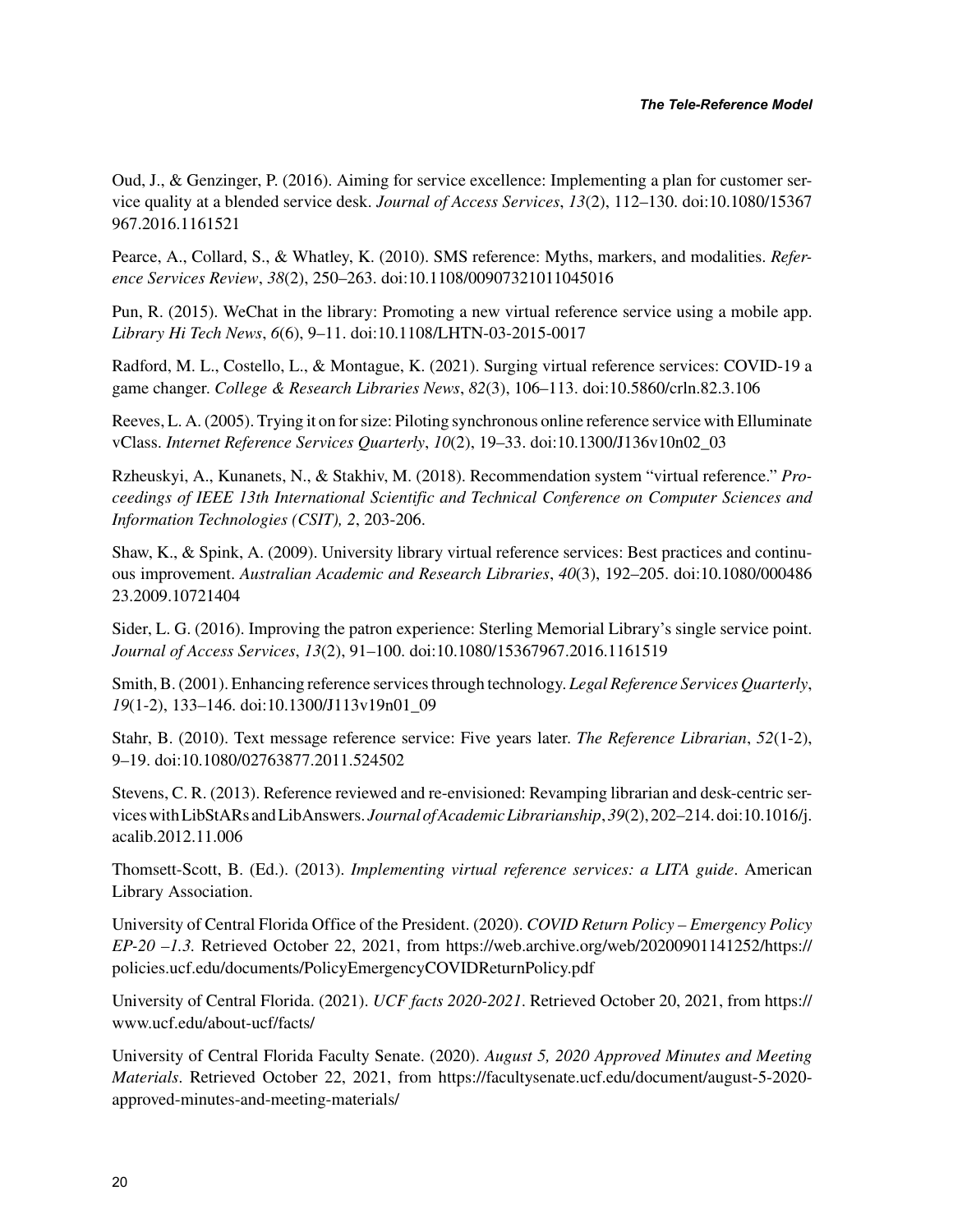Oud, J., & Genzinger, P. (2016). Aiming for service excellence: Implementing a plan for customer service quality at a blended service desk. *Journal of Access Services*, *13*(2), 112–130. doi:10.1080/15367 967.2016.1161521

Pearce, A., Collard, S., & Whatley, K. (2010). SMS reference: Myths, markers, and modalities. *Reference Services Review*, *38*(2), 250–263. doi:10.1108/00907321011045016

Pun, R. (2015). WeChat in the library: Promoting a new virtual reference service using a mobile app. *Library Hi Tech News*, *6*(6), 9–11. doi:10.1108/LHTN-03-2015-0017

Radford, M. L., Costello, L., & Montague, K. (2021). Surging virtual reference services: COVID-19 a game changer. *College & Research Libraries News*, *82*(3), 106–113. doi:10.5860/crln.82.3.106

Reeves, L. A. (2005). Trying it on for size: Piloting synchronous online reference service with Elluminate vClass. *Internet Reference Services Quarterly*, *10*(2), 19–33. doi:10.1300/J136v10n02\_03

Rzheuskyi, A., Kunanets, N., & Stakhiv, M. (2018). Recommendation system "virtual reference." *Proceedings of IEEE 13th International Scientific and Technical Conference on Computer Sciences and Information Technologies (CSIT), 2*, 203-206.

Shaw, K., & Spink, A. (2009). University library virtual reference services: Best practices and continuous improvement. *Australian Academic and Research Libraries*, *40*(3), 192–205. doi:10.1080/000486 23.2009.10721404

Sider, L. G. (2016). Improving the patron experience: Sterling Memorial Library's single service point. *Journal of Access Services*, *13*(2), 91–100. doi:10.1080/15367967.2016.1161519

Smith, B. (2001). Enhancing reference services through technology. *Legal Reference Services Quarterly*, *19*(1-2), 133–146. doi:10.1300/J113v19n01\_09

Stahr, B. (2010). Text message reference service: Five years later. *The Reference Librarian*, *52*(1-2), 9–19. doi:10.1080/02763877.2011.524502

Stevens, C. R. (2013). Reference reviewed and re-envisioned: Revamping librarian and desk-centric services with LibStARs and LibAnswers. *Journal of Academic Librarianship*, *39*(2), 202–214. doi:10.1016/j. acalib.2012.11.006

Thomsett-Scott, B. (Ed.). (2013). *Implementing virtual reference services: a LITA guide*. American Library Association.

University of Central Florida Office of the President. (2020). *COVID Return Policy – Emergency Policy EP-20 –1.3.* Retrieved October 22, 2021, from [https://web.archive.org/web/20200901141252/https://](https://web.archive.org/web/20200901141252/https://policies.ucf.edu/documents/PolicyEmergencyCOVIDReturnPolicy.pdf) [policies.ucf.edu/documents/PolicyEmergencyCOVIDReturnPolicy.pdf](https://web.archive.org/web/20200901141252/https://policies.ucf.edu/documents/PolicyEmergencyCOVIDReturnPolicy.pdf)

University of Central Florida. (2021). *UCF facts 2020-2021*. Retrieved October 20, 2021, from [https://](https://www.ucf.edu/about-ucf/facts/) [www.ucf.edu/about-ucf/facts/](https://www.ucf.edu/about-ucf/facts/)

University of Central Florida Faculty Senate. (2020). *August 5, 2020 Approved Minutes and Meeting Materials*. Retrieved October 22, 2021, from [https://facultysenate.ucf.edu/document/august-5-2020](https://facultysenate.ucf.edu/document/august-5-2020-approved-minutes-and-meeting-materials/) [approved-minutes-and-meeting-materials/](https://facultysenate.ucf.edu/document/august-5-2020-approved-minutes-and-meeting-materials/)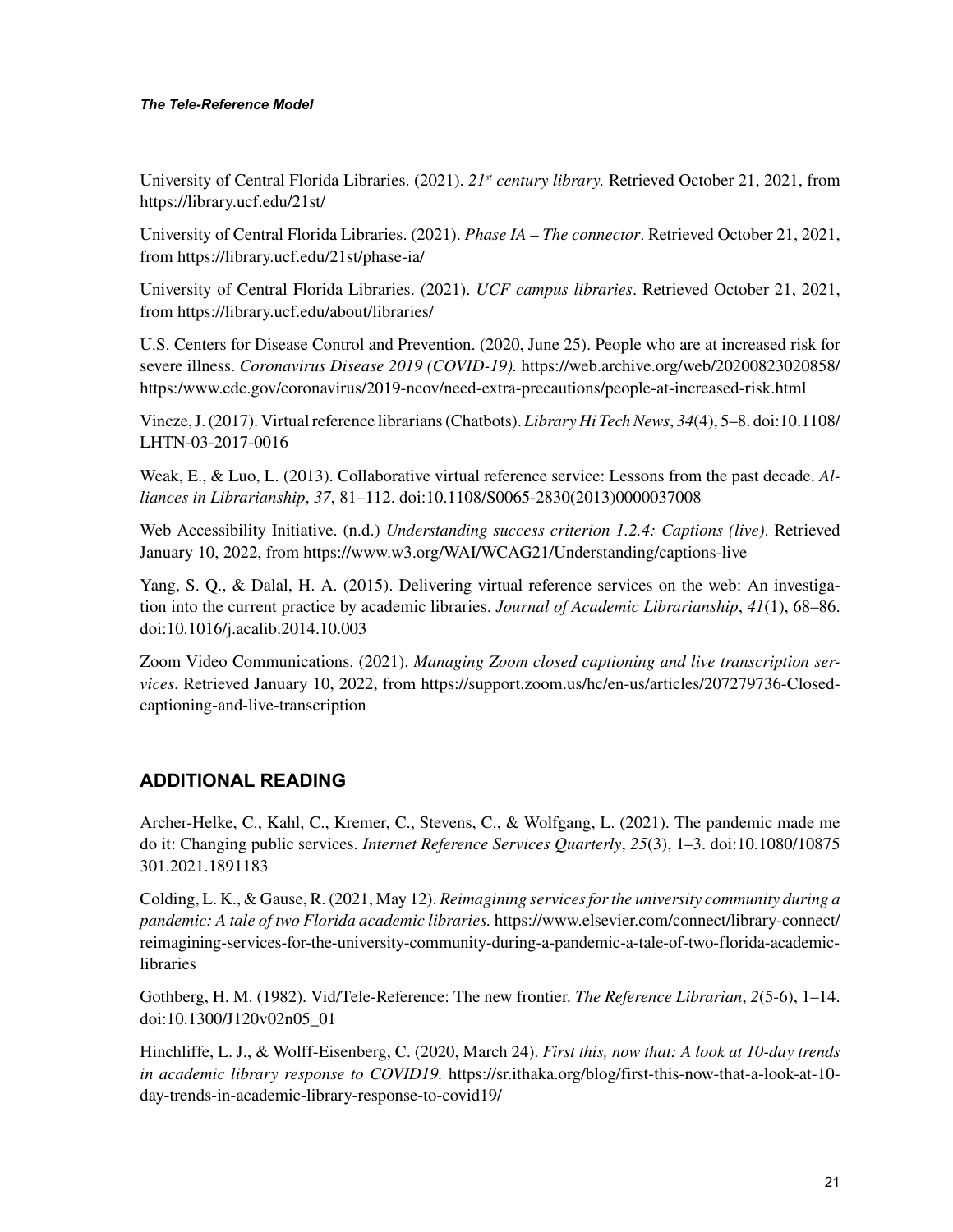#### *The Tele-Reference Model*

University of Central Florida Libraries. (2021). *21st century library.* Retrieved October 21, 2021, from <https://library.ucf.edu/21st/>

University of Central Florida Libraries. (2021). *Phase IA – The connector*. Retrieved October 21, 2021, from<https://library.ucf.edu/21st/phase-ia/>

University of Central Florida Libraries. (2021). *UCF campus libraries*. Retrieved October 21, 2021, from<https://library.ucf.edu/about/libraries/>

U.S. Centers for Disease Control and Prevention. (2020, June 25). People who are at increased risk for severe illness. *Coronavirus Disease 2019 (COVID-19).* [https://web.archive.org/web/20200823020858/](https://web.archive.org/web/20200823020858/https:/www.cdc.gov/coronavirus/2019-ncov/need-extra-precautions/people-at-increased-risk.html) [https:/www.cdc.gov/coronavirus/2019-ncov/need-extra-precautions/people-at-increased-risk.html](https://web.archive.org/web/20200823020858/https:/www.cdc.gov/coronavirus/2019-ncov/need-extra-precautions/people-at-increased-risk.html)

Vincze, J. (2017). Virtual reference librarians (Chatbots). *Library Hi Tech News*, *34*(4), 5–8. doi:10.1108/ LHTN-03-2017-0016

Weak, E., & Luo, L. (2013). Collaborative virtual reference service: Lessons from the past decade. *Alliances in Librarianship*, *37*, 81–112. doi:10.1108/S0065-2830(2013)0000037008

Web Accessibility Initiative. (n.d.) *Understanding success criterion 1.2.4: Captions (live)*. Retrieved January 10, 2022, from https://www.w3.org/WAI/WCAG21/Understanding/captions-live

Yang, S. Q., & Dalal, H. A. (2015). Delivering virtual reference services on the web: An investigation into the current practice by academic libraries. *Journal of Academic Librarianship*, *41*(1), 68–86. doi:10.1016/j.acalib.2014.10.003

Zoom Video Communications. (2021). *Managing Zoom closed captioning and live transcription services*. Retrieved January 10, 2022, from [https://support.zoom.us/hc/en-us/articles/207279736-Closed](https://support.zoom.us/hc/en-us/articles/207279736-Closed-captioning-and-live-transcription)[captioning-and-live-transcription](https://support.zoom.us/hc/en-us/articles/207279736-Closed-captioning-and-live-transcription)

#### **ADDITIONAL READING**

Archer-Helke, C., Kahl, C., Kremer, C., Stevens, C., & Wolfgang, L. (2021). The pandemic made me do it: Changing public services. *Internet Reference Services Quarterly*, *25*(3), 1–3. doi:10.1080/10875 301.2021.1891183

Colding, L. K., & Gause, R. (2021, May 12). *Reimagining services for the university community during a pandemic: A tale of two Florida academic libraries.* [https://www.elsevier.com/connect/library-connect/](https://www.elsevier.com/connect/library-connect/reimagining-) [reimagining-s](https://www.elsevier.com/connect/library-connect/reimagining-)ervices-for-the-university-community-during-a-pandemic-a-tale-of-two-florida-academiclibraries

Gothberg, H. M. (1982). Vid/Tele-Reference: The new frontier. *The Reference Librarian*, *2*(5-6), 1–14. doi:10.1300/J120v02n05\_01

Hinchliffe, L. J., & Wolff-Eisenberg, C. (2020, March 24). *First this, now that: A look at 10-day trends in academic library response to COVID19.* [https://sr.ithaka.org/blog/first-this-now-that-a-look-at-10](https://sr.ithaka.org/blog/first-this-now-that-a-look-at-10-day-trends-in-academic-library-response-to-covid19/) [day-trends-in-academic-library-response-to-covid19/](https://sr.ithaka.org/blog/first-this-now-that-a-look-at-10-day-trends-in-academic-library-response-to-covid19/)